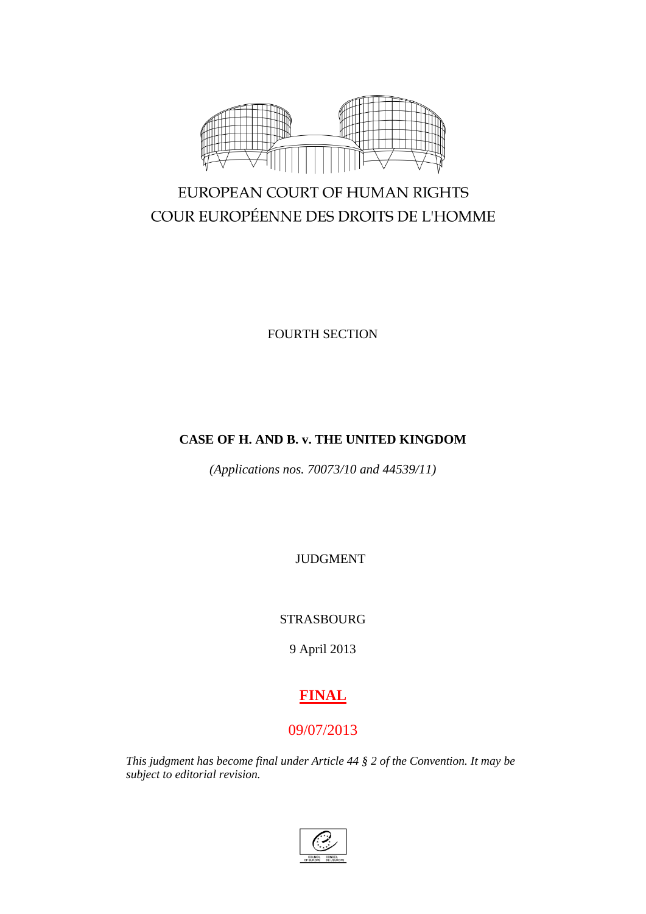

# EUROPEAN COURT OF HUMAN RIGHTS COUR EUROPÉENNE DES DROITS DE L'HOMME

FOURTH SECTION

# **CASE OF H. AND B. v. THE UNITED KINGDOM**

*(Applications nos. 70073/10 and 44539/11)*

JUDGMENT

# STRASBOURG

9 April 2013

# **FINAL**

# 09/07/2013

*This judgment has become final under Article 44 § 2 of the Convention. It may be subject to editorial revision.*

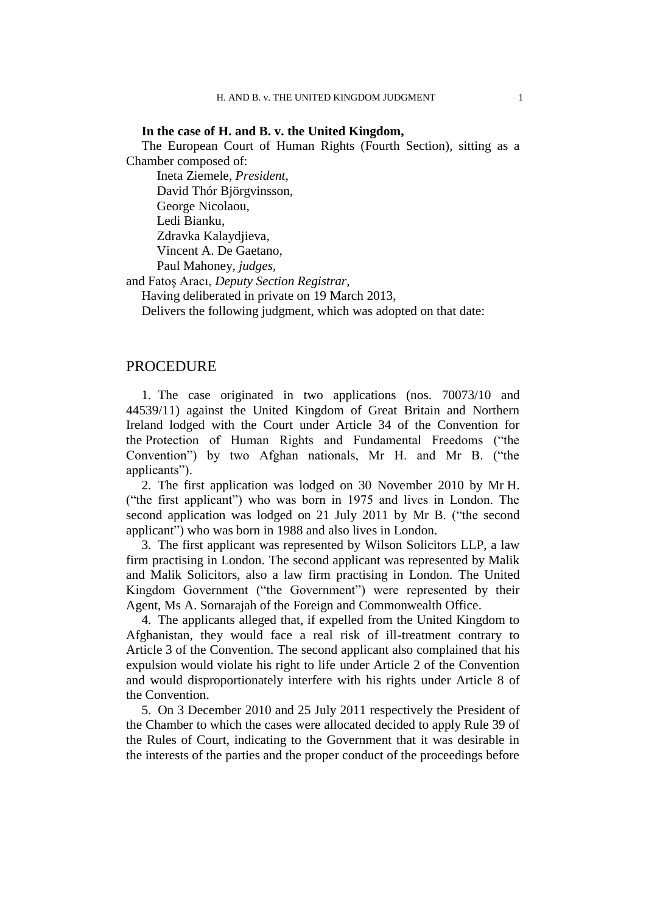### **In the case of H. and B. v. the United Kingdom,**

The European Court of Human Rights (Fourth Section), sitting as a Chamber composed of:

Ineta Ziemele, *President,* David Thór Björgvinsson, George Nicolaou, Ledi Bianku, Zdravka Kalaydjieva, Vincent A. De Gaetano, Paul Mahoney, *judges,*

and Fatoş Aracı, *Deputy Section Registrar,*

Having deliberated in private on 19 March 2013,

Delivers the following judgment, which was adopted on that date:

# PROCEDURE

1. The case originated in two applications (nos. 70073/10 and 44539/11) against the United Kingdom of Great Britain and Northern Ireland lodged with the Court under Article 34 of the Convention for the Protection of Human Rights and Fundamental Freedoms ("the Convention") by two Afghan nationals, Mr H. and Mr B. ("the applicants").

2. The first application was lodged on 30 November 2010 by Mr H. ("the first applicant") who was born in 1975 and lives in London. The second application was lodged on 21 July 2011 by Mr B. ("the second applicant") who was born in 1988 and also lives in London.

3. The first applicant was represented by Wilson Solicitors LLP, a law firm practising in London. The second applicant was represented by Malik and Malik Solicitors, also a law firm practising in London. The United Kingdom Government ("the Government") were represented by their Agent, Ms A. Sornarajah of the Foreign and Commonwealth Office.

4. The applicants alleged that, if expelled from the United Kingdom to Afghanistan, they would face a real risk of ill-treatment contrary to Article 3 of the Convention. The second applicant also complained that his expulsion would violate his right to life under Article 2 of the Convention and would disproportionately interfere with his rights under Article 8 of the Convention.

5. On 3 December 2010 and 25 July 2011 respectively the President of the Chamber to which the cases were allocated decided to apply Rule 39 of the Rules of Court, indicating to the Government that it was desirable in the interests of the parties and the proper conduct of the proceedings before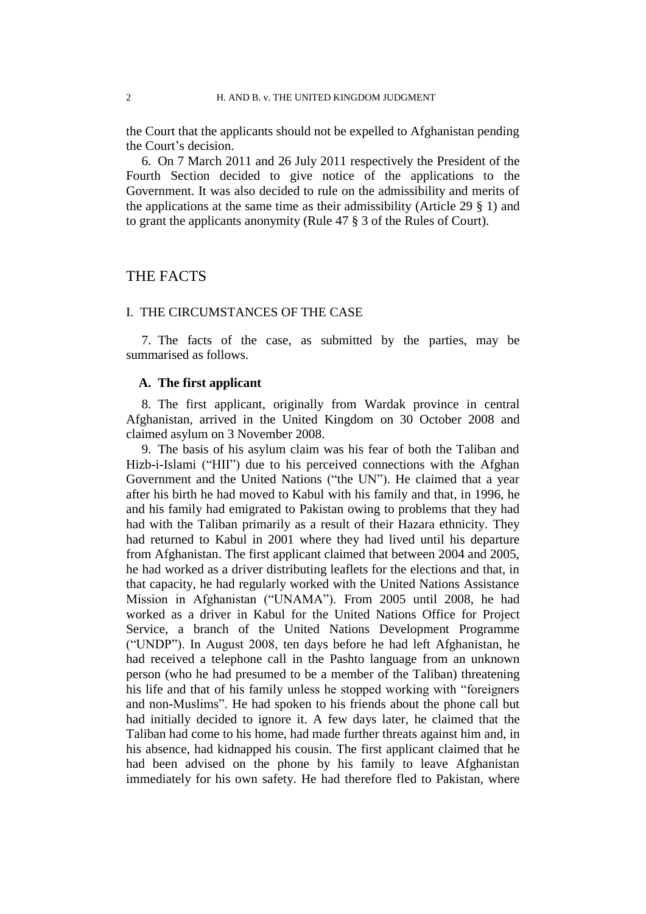the Court that the applicants should not be expelled to Afghanistan pending the Court's decision.

6. On 7 March 2011 and 26 July 2011 respectively the President of the Fourth Section decided to give notice of the applications to the Government. It was also decided to rule on the admissibility and merits of the applications at the same time as their admissibility (Article 29 § 1) and to grant the applicants anonymity (Rule 47 § 3 of the Rules of Court).

# THE FACTS

### I. THE CIRCUMSTANCES OF THE CASE

7. The facts of the case, as submitted by the parties, may be summarised as follows.

### **A. The first applicant**

8. The first applicant, originally from Wardak province in central Afghanistan, arrived in the United Kingdom on 30 October 2008 and claimed asylum on 3 November 2008.

9. The basis of his asylum claim was his fear of both the Taliban and Hizb-i-Islami ("HII") due to his perceived connections with the Afghan Government and the United Nations ("the UN"). He claimed that a year after his birth he had moved to Kabul with his family and that, in 1996, he and his family had emigrated to Pakistan owing to problems that they had had with the Taliban primarily as a result of their Hazara ethnicity. They had returned to Kabul in 2001 where they had lived until his departure from Afghanistan. The first applicant claimed that between 2004 and 2005, he had worked as a driver distributing leaflets for the elections and that, in that capacity, he had regularly worked with the United Nations Assistance Mission in Afghanistan ("UNAMA"). From 2005 until 2008, he had worked as a driver in Kabul for the United Nations Office for Project Service, a branch of the United Nations Development Programme ("UNDP"). In August 2008, ten days before he had left Afghanistan, he had received a telephone call in the Pashto language from an unknown person (who he had presumed to be a member of the Taliban) threatening his life and that of his family unless he stopped working with "foreigners and non-Muslims". He had spoken to his friends about the phone call but had initially decided to ignore it. A few days later, he claimed that the Taliban had come to his home, had made further threats against him and, in his absence, had kidnapped his cousin. The first applicant claimed that he had been advised on the phone by his family to leave Afghanistan immediately for his own safety. He had therefore fled to Pakistan, where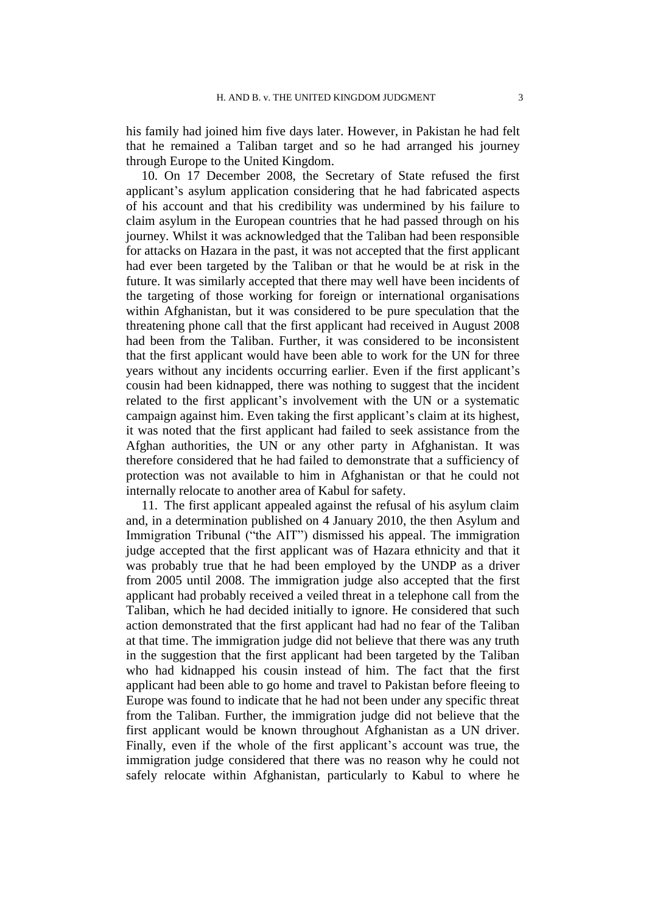his family had joined him five days later. However, in Pakistan he had felt that he remained a Taliban target and so he had arranged his journey through Europe to the United Kingdom.

<span id="page-4-1"></span>10. On 17 December 2008, the Secretary of State refused the first applicant's asylum application considering that he had fabricated aspects of his account and that his credibility was undermined by his failure to claim asylum in the European countries that he had passed through on his journey. Whilst it was acknowledged that the Taliban had been responsible for attacks on Hazara in the past, it was not accepted that the first applicant had ever been targeted by the Taliban or that he would be at risk in the future. It was similarly accepted that there may well have been incidents of the targeting of those working for foreign or international organisations within Afghanistan, but it was considered to be pure speculation that the threatening phone call that the first applicant had received in August 2008 had been from the Taliban. Further, it was considered to be inconsistent that the first applicant would have been able to work for the UN for three years without any incidents occurring earlier. Even if the first applicant's cousin had been kidnapped, there was nothing to suggest that the incident related to the first applicant's involvement with the UN or a systematic campaign against him. Even taking the first applicant's claim at its highest, it was noted that the first applicant had failed to seek assistance from the Afghan authorities, the UN or any other party in Afghanistan. It was therefore considered that he had failed to demonstrate that a sufficiency of protection was not available to him in Afghanistan or that he could not internally relocate to another area of Kabul for safety.

<span id="page-4-0"></span>11. The first applicant appealed against the refusal of his asylum claim and, in a determination published on 4 January 2010, the then Asylum and Immigration Tribunal ("the AIT") dismissed his appeal. The immigration judge accepted that the first applicant was of Hazara ethnicity and that it was probably true that he had been employed by the UNDP as a driver from 2005 until 2008. The immigration judge also accepted that the first applicant had probably received a veiled threat in a telephone call from the Taliban, which he had decided initially to ignore. He considered that such action demonstrated that the first applicant had had no fear of the Taliban at that time. The immigration judge did not believe that there was any truth in the suggestion that the first applicant had been targeted by the Taliban who had kidnapped his cousin instead of him. The fact that the first applicant had been able to go home and travel to Pakistan before fleeing to Europe was found to indicate that he had not been under any specific threat from the Taliban. Further, the immigration judge did not believe that the first applicant would be known throughout Afghanistan as a UN driver. Finally, even if the whole of the first applicant's account was true, the immigration judge considered that there was no reason why he could not safely relocate within Afghanistan, particularly to Kabul to where he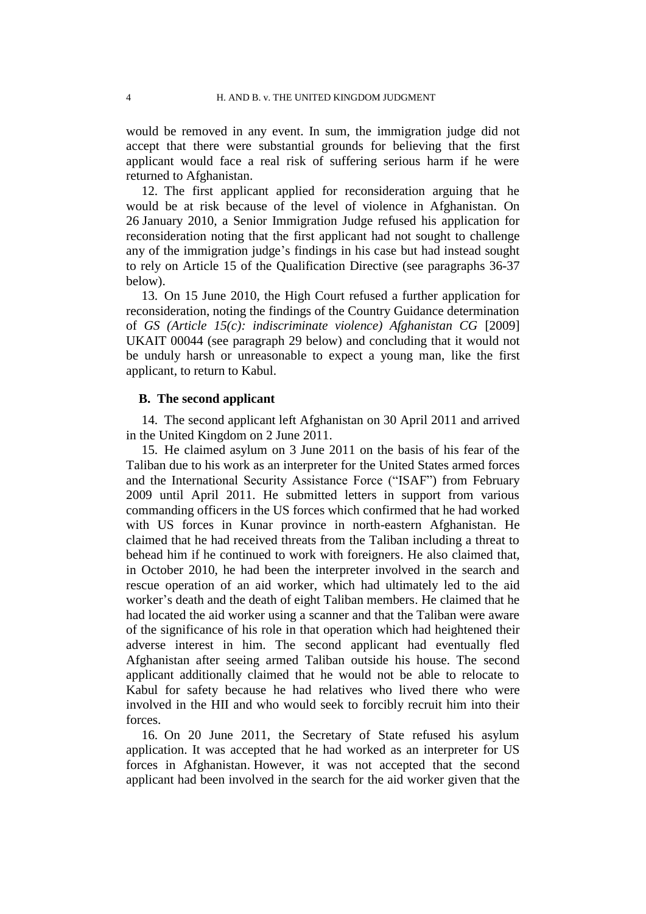would be removed in any event. In sum, the immigration judge did not accept that there were substantial grounds for believing that the first applicant would face a real risk of suffering serious harm if he were returned to Afghanistan.

12. The first applicant applied for reconsideration arguing that he would be at risk because of the level of violence in Afghanistan. On 26 January 2010, a Senior Immigration Judge refused his application for reconsideration noting that the first applicant had not sought to challenge any of the immigration judge's findings in his case but had instead sought to rely on Article 15 of the Qualification Directive (see paragraphs [36](#page-11-0)[-37](#page-11-1) below).

13. On 15 June 2010, the High Court refused a further application for reconsideration, noting the findings of the Country Guidance determination of *GS (Article 15(c): indiscriminate violence) Afghanistan CG* [2009] UKAIT 00044 (see paragraph [29](#page-9-0) below) and concluding that it would not be unduly harsh or unreasonable to expect a young man, like the first applicant, to return to Kabul.

### **B. The second applicant**

14. The second applicant left Afghanistan on 30 April 2011 and arrived in the United Kingdom on 2 June 2011.

15. He claimed asylum on 3 June 2011 on the basis of his fear of the Taliban due to his work as an interpreter for the United States armed forces and the International Security Assistance Force ("ISAF") from February 2009 until April 2011. He submitted letters in support from various commanding officers in the US forces which confirmed that he had worked with US forces in Kunar province in north-eastern Afghanistan. He claimed that he had received threats from the Taliban including a threat to behead him if he continued to work with foreigners. He also claimed that, in October 2010, he had been the interpreter involved in the search and rescue operation of an aid worker, which had ultimately led to the aid worker's death and the death of eight Taliban members. He claimed that he had located the aid worker using a scanner and that the Taliban were aware of the significance of his role in that operation which had heightened their adverse interest in him. The second applicant had eventually fled Afghanistan after seeing armed Taliban outside his house. The second applicant additionally claimed that he would not be able to relocate to Kabul for safety because he had relatives who lived there who were involved in the HII and who would seek to forcibly recruit him into their forces.

16. On 20 June 2011, the Secretary of State refused his asylum application. It was accepted that he had worked as an interpreter for US forces in Afghanistan. However, it was not accepted that the second applicant had been involved in the search for the aid worker given that the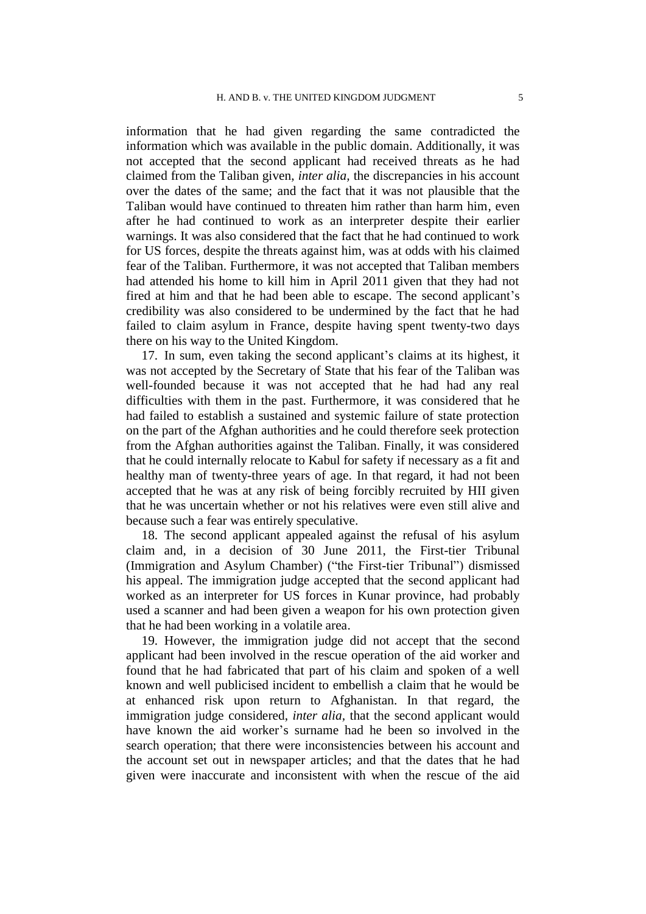information that he had given regarding the same contradicted the information which was available in the public domain. Additionally, it was not accepted that the second applicant had received threats as he had claimed from the Taliban given, *inter alia,* the discrepancies in his account over the dates of the same; and the fact that it was not plausible that the Taliban would have continued to threaten him rather than harm him, even after he had continued to work as an interpreter despite their earlier warnings. It was also considered that the fact that he had continued to work for US forces, despite the threats against him, was at odds with his claimed fear of the Taliban. Furthermore, it was not accepted that Taliban members had attended his home to kill him in April 2011 given that they had not fired at him and that he had been able to escape. The second applicant's credibility was also considered to be undermined by the fact that he had failed to claim asylum in France, despite having spent twenty-two days there on his way to the United Kingdom.

17. In sum, even taking the second applicant's claims at its highest, it was not accepted by the Secretary of State that his fear of the Taliban was well-founded because it was not accepted that he had had any real difficulties with them in the past. Furthermore, it was considered that he had failed to establish a sustained and systemic failure of state protection on the part of the Afghan authorities and he could therefore seek protection from the Afghan authorities against the Taliban. Finally, it was considered that he could internally relocate to Kabul for safety if necessary as a fit and healthy man of twenty-three years of age. In that regard, it had not been accepted that he was at any risk of being forcibly recruited by HII given that he was uncertain whether or not his relatives were even still alive and because such a fear was entirely speculative.

<span id="page-6-1"></span>18. The second applicant appealed against the refusal of his asylum claim and, in a decision of 30 June 2011, the First-tier Tribunal (Immigration and Asylum Chamber) ("the First-tier Tribunal") dismissed his appeal. The immigration judge accepted that the second applicant had worked as an interpreter for US forces in Kunar province, had probably used a scanner and had been given a weapon for his own protection given that he had been working in a volatile area.

<span id="page-6-0"></span>19. However, the immigration judge did not accept that the second applicant had been involved in the rescue operation of the aid worker and found that he had fabricated that part of his claim and spoken of a well known and well publicised incident to embellish a claim that he would be at enhanced risk upon return to Afghanistan. In that regard, the immigration judge considered, *inter alia,* that the second applicant would have known the aid worker's surname had he been so involved in the search operation; that there were inconsistencies between his account and the account set out in newspaper articles; and that the dates that he had given were inaccurate and inconsistent with when the rescue of the aid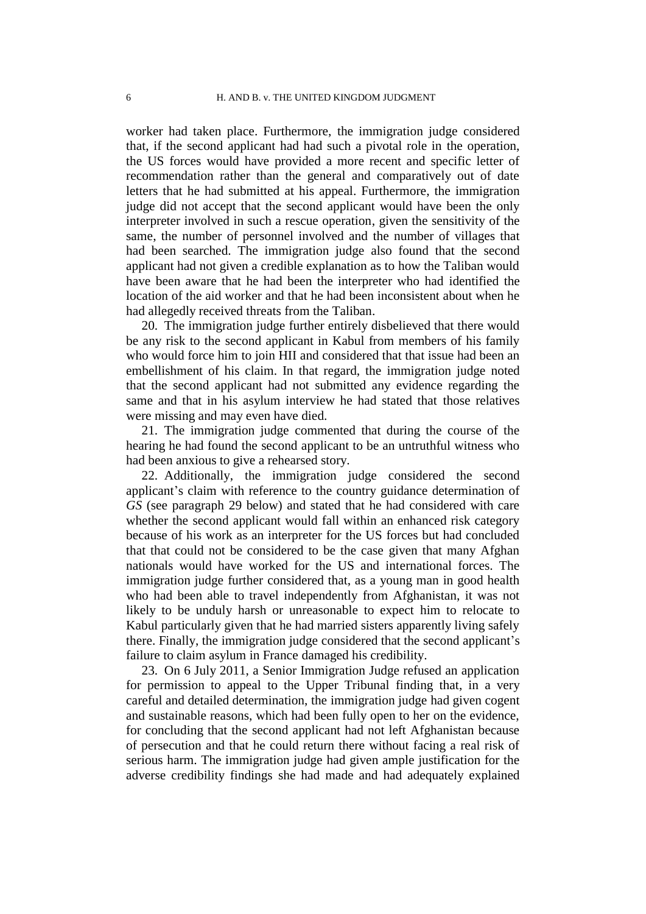worker had taken place. Furthermore, the immigration judge considered that, if the second applicant had had such a pivotal role in the operation, the US forces would have provided a more recent and specific letter of recommendation rather than the general and comparatively out of date letters that he had submitted at his appeal. Furthermore, the immigration judge did not accept that the second applicant would have been the only interpreter involved in such a rescue operation, given the sensitivity of the same, the number of personnel involved and the number of villages that had been searched. The immigration judge also found that the second applicant had not given a credible explanation as to how the Taliban would have been aware that he had been the interpreter who had identified the location of the aid worker and that he had been inconsistent about when he had allegedly received threats from the Taliban.

20. The immigration judge further entirely disbelieved that there would be any risk to the second applicant in Kabul from members of his family who would force him to join HII and considered that that issue had been an embellishment of his claim. In that regard, the immigration judge noted that the second applicant had not submitted any evidence regarding the same and that in his asylum interview he had stated that those relatives were missing and may even have died.

21. The immigration judge commented that during the course of the hearing he had found the second applicant to be an untruthful witness who had been anxious to give a rehearsed story.

<span id="page-7-0"></span>22. Additionally, the immigration judge considered the second applicant's claim with reference to the country guidance determination of *GS* (see paragraph [29](#page-9-0) below) and stated that he had considered with care whether the second applicant would fall within an enhanced risk category because of his work as an interpreter for the US forces but had concluded that that could not be considered to be the case given that many Afghan nationals would have worked for the US and international forces. The immigration judge further considered that, as a young man in good health who had been able to travel independently from Afghanistan, it was not likely to be unduly harsh or unreasonable to expect him to relocate to Kabul particularly given that he had married sisters apparently living safely there. Finally, the immigration judge considered that the second applicant's failure to claim asylum in France damaged his credibility.

23. On 6 July 2011, a Senior Immigration Judge refused an application for permission to appeal to the Upper Tribunal finding that, in a very careful and detailed determination, the immigration judge had given cogent and sustainable reasons, which had been fully open to her on the evidence, for concluding that the second applicant had not left Afghanistan because of persecution and that he could return there without facing a real risk of serious harm. The immigration judge had given ample justification for the adverse credibility findings she had made and had adequately explained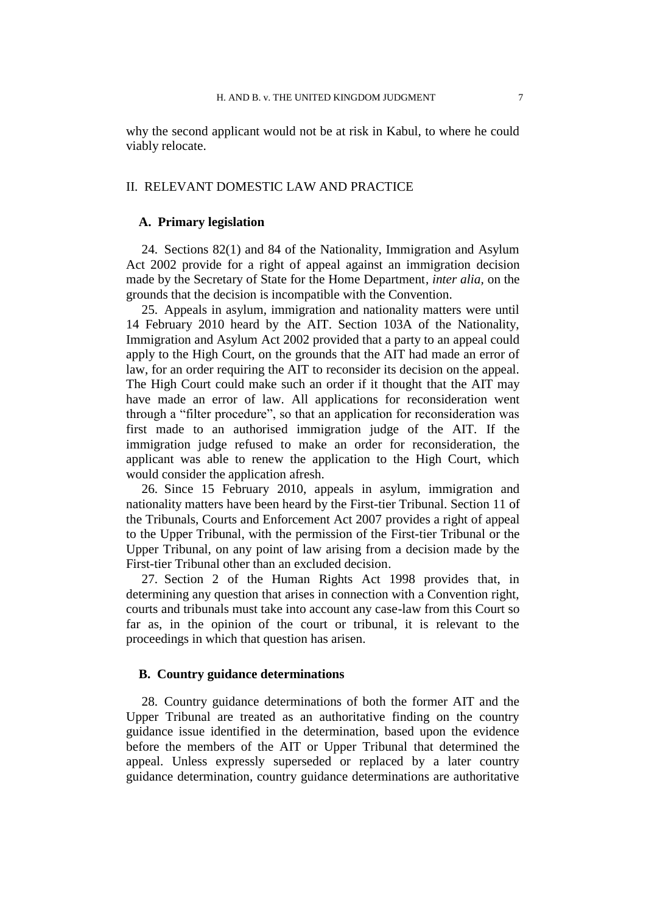why the second applicant would not be at risk in Kabul, to where he could viably relocate.

# II. RELEVANT DOMESTIC LAW AND PRACTICE

## **A. Primary legislation**

24. Sections 82(1) and 84 of the Nationality, Immigration and Asylum Act 2002 provide for a right of appeal against an immigration decision made by the Secretary of State for the Home Department, *inter alia,* on the grounds that the decision is incompatible with the Convention.

25. Appeals in asylum, immigration and nationality matters were until 14 February 2010 heard by the AIT. Section 103A of the Nationality, Immigration and Asylum Act 2002 provided that a party to an appeal could apply to the High Court, on the grounds that the AIT had made an error of law, for an order requiring the AIT to reconsider its decision on the appeal. The High Court could make such an order if it thought that the AIT may have made an error of law. All applications for reconsideration went through a "filter procedure", so that an application for reconsideration was first made to an authorised immigration judge of the AIT. If the immigration judge refused to make an order for reconsideration, the applicant was able to renew the application to the High Court, which would consider the application afresh.

26. Since 15 February 2010, appeals in asylum, immigration and nationality matters have been heard by the First-tier Tribunal. Section 11 of the Tribunals, Courts and Enforcement Act 2007 provides a right of appeal to the Upper Tribunal, with the permission of the First-tier Tribunal or the Upper Tribunal, on any point of law arising from a decision made by the First-tier Tribunal other than an excluded decision.

27. Section 2 of the Human Rights Act 1998 provides that, in determining any question that arises in connection with a Convention right, courts and tribunals must take into account any case-law from this Court so far as, in the opinion of the court or tribunal, it is relevant to the proceedings in which that question has arisen.

### **B. Country guidance determinations**

28. Country guidance determinations of both the former AIT and the Upper Tribunal are treated as an authoritative finding on the country guidance issue identified in the determination, based upon the evidence before the members of the AIT or Upper Tribunal that determined the appeal. Unless expressly superseded or replaced by a later country guidance determination, country guidance determinations are authoritative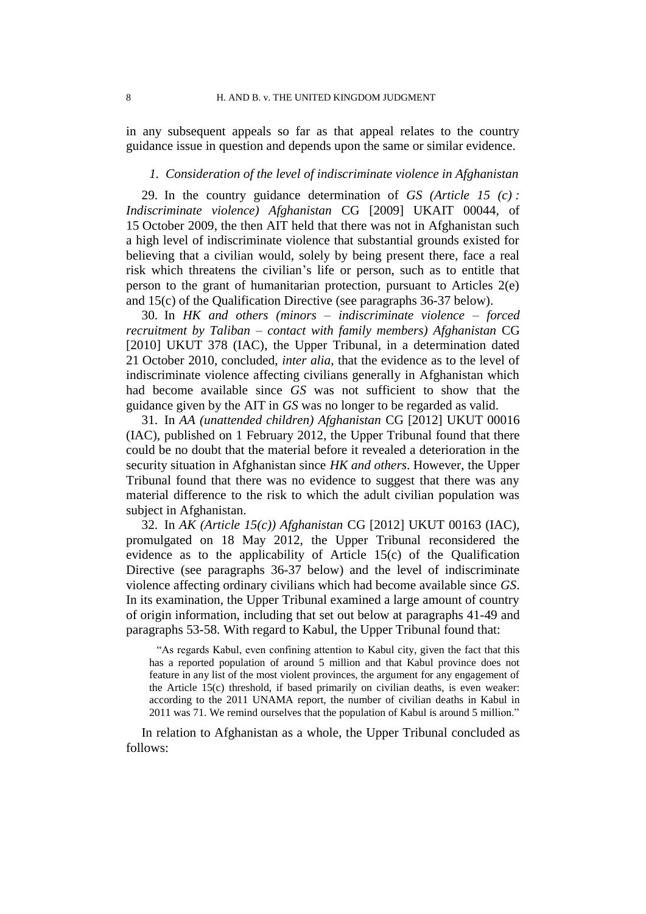in any subsequent appeals so far as that appeal relates to the country guidance issue in question and depends upon the same or similar evidence.

### *1. Consideration of the level of indiscriminate violence in Afghanistan*

<span id="page-9-0"></span>29. In the country guidance determination of *GS (Article 15 (c) : Indiscriminate violence) Afghanistan* CG [2009] UKAIT 00044, of 15 October 2009, the then AIT held that there was not in Afghanistan such a high level of indiscriminate violence that substantial grounds existed for believing that a civilian would, solely by being present there, face a real risk which threatens the civilian's life or person, such as to entitle that person to the grant of humanitarian protection, pursuant to Articles 2(e) and 15(c) of the Qualification Directive (see paragraphs [36-](#page-11-0)[37](#page-11-1) below).

30. In *HK and others (minors – indiscriminate violence – forced recruitment by Taliban – contact with family members) Afghanistan* CG [2010] UKUT 378 (IAC), the Upper Tribunal, in a determination dated 21 October 2010, concluded, *inter alia*, that the evidence as to the level of indiscriminate violence affecting civilians generally in Afghanistan which had become available since *GS* was not sufficient to show that the guidance given by the AIT in *GS* was no longer to be regarded as valid.

31. In *AA (unattended children) Afghanistan* CG [2012] UKUT 00016 (IAC), published on 1 February 2012, the Upper Tribunal found that there could be no doubt that the material before it revealed a deterioration in the security situation in Afghanistan since *HK and others*. However, the Upper Tribunal found that there was no evidence to suggest that there was any material difference to the risk to which the adult civilian population was subject in Afghanistan.

<span id="page-9-1"></span>32. In *AK (Article 15(c)) Afghanistan* CG [2012] UKUT 00163 (IAC), promulgated on 18 May 2012, the Upper Tribunal reconsidered the evidence as to the applicability of Article 15(c) of the Qualification Directive (see paragraphs [36-](#page-11-0)[37](#page-11-1) below) and the level of indiscriminate violence affecting ordinary civilians which had become available since *GS*. In its examination, the Upper Tribunal examined a large amount of country of origin information, including that set out below at paragraphs [41-](#page-12-0)[49](#page-14-0) and paragraphs [53-](#page-15-0)[58.](#page-17-0) With regard to Kabul, the Upper Tribunal found that:

"As regards Kabul, even confining attention to Kabul city, given the fact that this has a reported population of around 5 million and that Kabul province does not feature in any list of the most violent provinces, the argument for any engagement of the Article 15(c) threshold, if based primarily on civilian deaths, is even weaker: according to the 2011 UNAMA report, the number of civilian deaths in Kabul in 2011 was 71. We remind ourselves that the population of Kabul is around 5 million."

In relation to Afghanistan as a whole, the Upper Tribunal concluded as follows: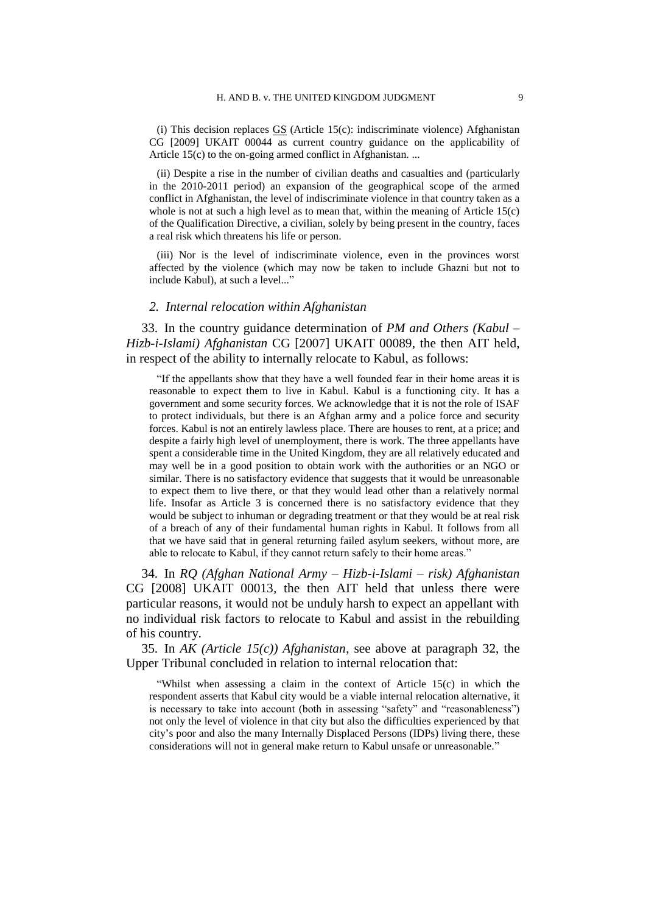(i) This decision replaces  $\overline{GS}$  (Article 15(c): indiscriminate violence) Afghanistan CG [2009] UKAIT 00044 as current country guidance on the applicability of Article 15(c) to the on-going armed conflict in Afghanistan. ...

(ii) Despite a rise in the number of civilian deaths and casualties and (particularly in the 2010-2011 period) an expansion of the geographical scope of the armed conflict in Afghanistan, the level of indiscriminate violence in that country taken as a whole is not at such a high level as to mean that, within the meaning of Article 15(c) of the Qualification Directive, a civilian, solely by being present in the country, faces a real risk which threatens his life or person.

(iii) Nor is the level of indiscriminate violence, even in the provinces worst affected by the violence (which may now be taken to include Ghazni but not to include Kabul), at such a level..."

#### *2. Internal relocation within Afghanistan*

<span id="page-10-0"></span>33. In the country guidance determination of *PM and Others (Kabul – Hizb-i-Islami) Afghanistan* CG [2007] UKAIT 00089, the then AIT held, in respect of the ability to internally relocate to Kabul, as follows:

"If the appellants show that they have a well founded fear in their home areas it is reasonable to expect them to live in Kabul. Kabul is a functioning city. It has a government and some security forces. We acknowledge that it is not the role of ISAF to protect individuals, but there is an Afghan army and a police force and security forces. Kabul is not an entirely lawless place. There are houses to rent, at a price; and despite a fairly high level of unemployment, there is work. The three appellants have spent a considerable time in the United Kingdom, they are all relatively educated and may well be in a good position to obtain work with the authorities or an NGO or similar. There is no satisfactory evidence that suggests that it would be unreasonable to expect them to live there, or that they would lead other than a relatively normal life. Insofar as Article 3 is concerned there is no satisfactory evidence that they would be subject to inhuman or degrading treatment or that they would be at real risk of a breach of any of their fundamental human rights in Kabul. It follows from all that we have said that in general returning failed asylum seekers, without more, are able to relocate to Kabul, if they cannot return safely to their home areas."

<span id="page-10-1"></span>34. In *RQ (Afghan National Army – Hizb-i-Islami – risk) Afghanistan* CG [2008] UKAIT 00013*,* the then AIT held that unless there were particular reasons, it would not be unduly harsh to expect an appellant with no individual risk factors to relocate to Kabul and assist in the rebuilding of his country.

<span id="page-10-2"></span>35. In *AK (Article 15(c)) Afghanistan*, see above at paragraph [32,](#page-9-1) the Upper Tribunal concluded in relation to internal relocation that:

"Whilst when assessing a claim in the context of Article 15(c) in which the respondent asserts that Kabul city would be a viable internal relocation alternative, it is necessary to take into account (both in assessing "safety" and "reasonableness") not only the level of violence in that city but also the difficulties experienced by that city's poor and also the many Internally Displaced Persons (IDPs) living there, these considerations will not in general make return to Kabul unsafe or unreasonable."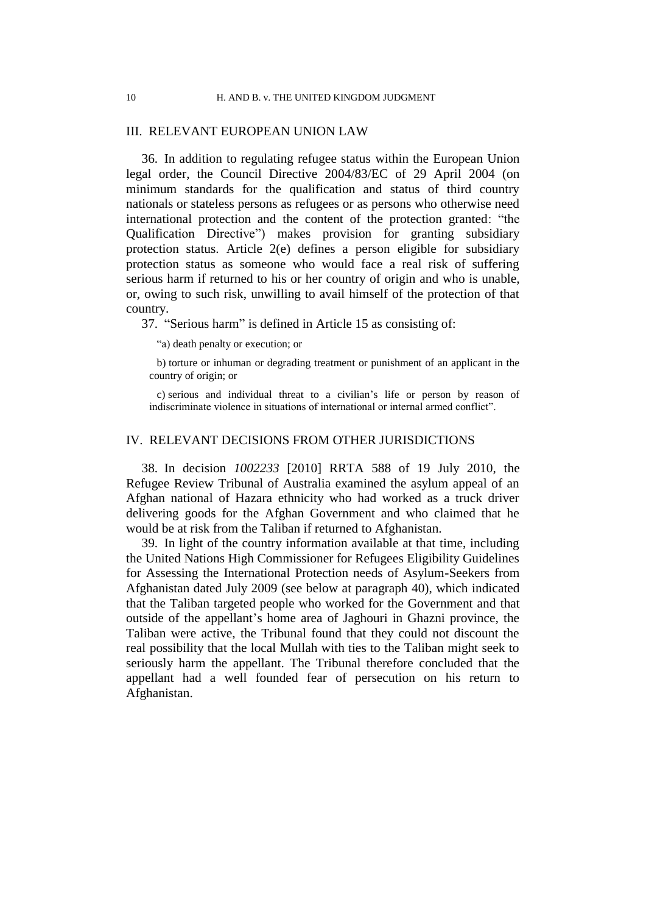### III. RELEVANT EUROPEAN UNION LAW

<span id="page-11-0"></span>36. In addition to regulating refugee status within the European Union legal order, the Council Directive 2004/83/EC of 29 April 2004 (on minimum standards for the qualification and status of third country nationals or stateless persons as refugees or as persons who otherwise need international protection and the content of the protection granted: "the Qualification Directive") makes provision for granting subsidiary protection status. Article 2(e) defines a person eligible for subsidiary protection status as someone who would face a real risk of suffering serious harm if returned to his or her country of origin and who is unable, or, owing to such risk, unwilling to avail himself of the protection of that country.

<span id="page-11-1"></span>37. "Serious harm" is defined in Article 15 as consisting of:

"a) death penalty or execution; or

b) torture or inhuman or degrading treatment or punishment of an applicant in the country of origin; or

c) serious and individual threat to a civilian's life or person by reason of indiscriminate violence in situations of international or internal armed conflict".

# IV. RELEVANT DECISIONS FROM OTHER JURISDICTIONS

<span id="page-11-2"></span>38. In decision *1002233* [2010] RRTA 588 of 19 July 2010, the Refugee Review Tribunal of Australia examined the asylum appeal of an Afghan national of Hazara ethnicity who had worked as a truck driver delivering goods for the Afghan Government and who claimed that he would be at risk from the Taliban if returned to Afghanistan.

<span id="page-11-3"></span>39. In light of the country information available at that time, including the United Nations High Commissioner for Refugees Eligibility Guidelines for Assessing the International Protection needs of Asylum-Seekers from Afghanistan dated July 2009 (see below at paragraph [40\)](#page-12-1), which indicated that the Taliban targeted people who worked for the Government and that outside of the appellant's home area of Jaghouri in Ghazni province, the Taliban were active, the Tribunal found that they could not discount the real possibility that the local Mullah with ties to the Taliban might seek to seriously harm the appellant. The Tribunal therefore concluded that the appellant had a well founded fear of persecution on his return to Afghanistan.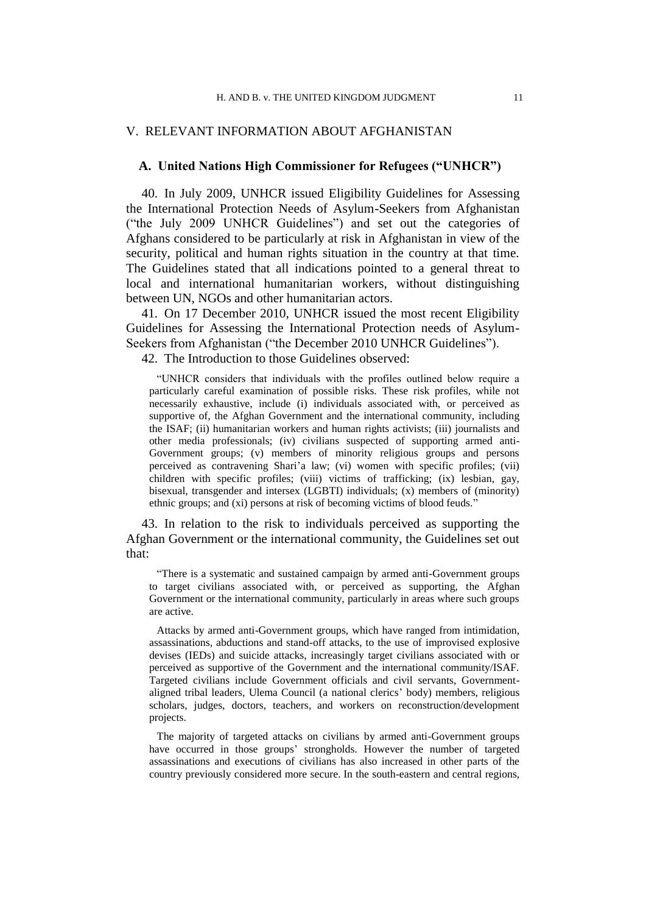## V. RELEVANT INFORMATION ABOUT AFGHANISTAN

### **A. United Nations High Commissioner for Refugees ("UNHCR")**

<span id="page-12-1"></span>40. In July 2009, UNHCR issued Eligibility Guidelines for Assessing the International Protection Needs of Asylum-Seekers from Afghanistan ("the July 2009 UNHCR Guidelines") and set out the categories of Afghans considered to be particularly at risk in Afghanistan in view of the security, political and human rights situation in the country at that time. The Guidelines stated that all indications pointed to a general threat to local and international humanitarian workers, without distinguishing between UN, NGOs and other humanitarian actors.

<span id="page-12-0"></span>41. On 17 December 2010, UNHCR issued the most recent Eligibility Guidelines for Assessing the International Protection needs of Asylum-Seekers from Afghanistan ("the December 2010 UNHCR Guidelines").

<span id="page-12-3"></span>42. The Introduction to those Guidelines observed:

"UNHCR considers that individuals with the profiles outlined below require a particularly careful examination of possible risks. These risk profiles, while not necessarily exhaustive, include (i) individuals associated with, or perceived as supportive of, the Afghan Government and the international community, including the ISAF; (ii) humanitarian workers and human rights activists; (iii) journalists and other media professionals; (iv) civilians suspected of supporting armed anti-Government groups; (v) members of minority religious groups and persons perceived as contravening Shari'a law; (vi) women with specific profiles; (vii) children with specific profiles; (viii) victims of trafficking; (ix) lesbian, gay, bisexual, transgender and intersex (LGBTI) individuals; (x) members of (minority) ethnic groups; and (xi) persons at risk of becoming victims of blood feuds."

<span id="page-12-2"></span>43. In relation to the risk to individuals perceived as supporting the Afghan Government or the international community, the Guidelines set out that:

"There is a systematic and sustained campaign by armed anti-Government groups to target civilians associated with, or perceived as supporting, the Afghan Government or the international community, particularly in areas where such groups are active.

Attacks by armed anti-Government groups, which have ranged from intimidation, assassinations, abductions and stand-off attacks, to the use of improvised explosive devises (IEDs) and suicide attacks, increasingly target civilians associated with or perceived as supportive of the Government and the international community/ISAF. Targeted civilians include Government officials and civil servants, Governmentaligned tribal leaders, Ulema Council (a national clerics' body) members, religious scholars, judges, doctors, teachers, and workers on reconstruction/development projects.

The majority of targeted attacks on civilians by armed anti-Government groups have occurred in those groups' strongholds. However the number of targeted assassinations and executions of civilians has also increased in other parts of the country previously considered more secure. In the south-eastern and central regions,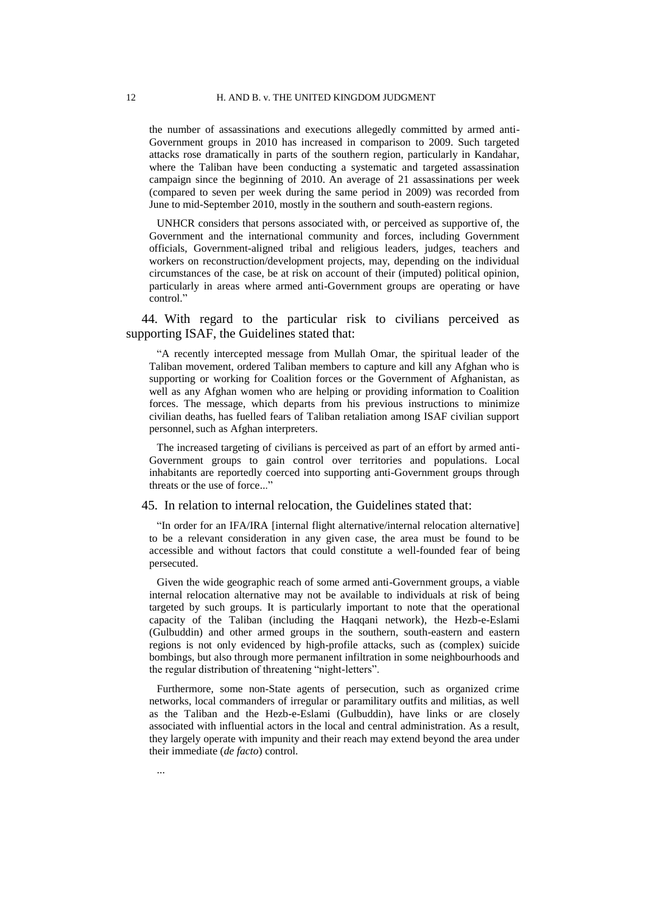the number of assassinations and executions allegedly committed by armed anti-Government groups in 2010 has increased in comparison to 2009. Such targeted attacks rose dramatically in parts of the southern region, particularly in Kandahar, where the Taliban have been conducting a systematic and targeted assassination campaign since the beginning of 2010. An average of 21 assassinations per week (compared to seven per week during the same period in 2009) was recorded from June to mid-September 2010, mostly in the southern and south-eastern regions.

UNHCR considers that persons associated with, or perceived as supportive of, the Government and the international community and forces, including Government officials, Government-aligned tribal and religious leaders, judges, teachers and workers on reconstruction/development projects, may, depending on the individual circumstances of the case, be at risk on account of their (imputed) political opinion, particularly in areas where armed anti-Government groups are operating or have control."

44. With regard to the particular risk to civilians perceived as supporting ISAF, the Guidelines stated that:

"A recently intercepted message from Mullah Omar, the spiritual leader of the Taliban movement, ordered Taliban members to capture and kill any Afghan who is supporting or working for Coalition forces or the Government of Afghanistan, as well as any Afghan women who are helping or providing information to Coalition forces. The message, which departs from his previous instructions to minimize civilian deaths, has fuelled fears of Taliban retaliation among ISAF civilian support personnel, such as Afghan interpreters.

The increased targeting of civilians is perceived as part of an effort by armed anti-Government groups to gain control over territories and populations. Local inhabitants are reportedly coerced into supporting anti-Government groups through threats or the use of force..."

### <span id="page-13-0"></span>45. In relation to internal relocation, the Guidelines stated that:

"In order for an IFA/IRA [internal flight alternative/internal relocation alternative] to be a relevant consideration in any given case, the area must be found to be accessible and without factors that could constitute a well-founded fear of being persecuted.

Given the wide geographic reach of some armed anti-Government groups, a viable internal relocation alternative may not be available to individuals at risk of being targeted by such groups. It is particularly important to note that the operational capacity of the Taliban (including the Haqqani network), the Hezb-e-Eslami (Gulbuddin) and other armed groups in the southern, south-eastern and eastern regions is not only evidenced by high-profile attacks, such as (complex) suicide bombings, but also through more permanent infiltration in some neighbourhoods and the regular distribution of threatening "night-letters".

Furthermore, some non-State agents of persecution, such as organized crime networks, local commanders of irregular or paramilitary outfits and militias, as well as the Taliban and the Hezb-e-Eslami (Gulbuddin), have links or are closely associated with influential actors in the local and central administration. As a result, they largely operate with impunity and their reach may extend beyond the area under their immediate (*de facto*) control.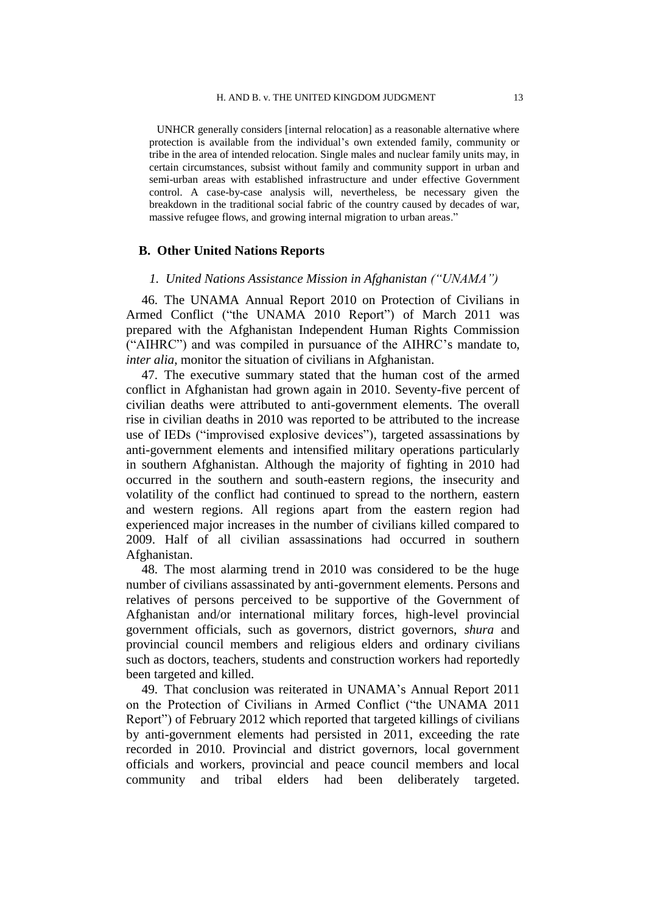UNHCR generally considers [internal relocation] as a reasonable alternative where protection is available from the individual's own extended family, community or tribe in the area of intended relocation. Single males and nuclear family units may, in certain circumstances, subsist without family and community support in urban and semi-urban areas with established infrastructure and under effective Government control. A case-by-case analysis will, nevertheless, be necessary given the breakdown in the traditional social fabric of the country caused by decades of war, massive refugee flows, and growing internal migration to urban areas."

### **B. Other United Nations Reports**

### *1. United Nations Assistance Mission in Afghanistan ("UNAMA")*

<span id="page-14-1"></span>46. The UNAMA Annual Report 2010 on Protection of Civilians in Armed Conflict ("the UNAMA 2010 Report") of March 2011 was prepared with the Afghanistan Independent Human Rights Commission ("AIHRC") and was compiled in pursuance of the AIHRC's mandate to, *inter alia*, monitor the situation of civilians in Afghanistan.

47. The executive summary stated that the human cost of the armed conflict in Afghanistan had grown again in 2010. Seventy-five percent of civilian deaths were attributed to anti-government elements. The overall rise in civilian deaths in 2010 was reported to be attributed to the increase use of IEDs ("improvised explosive devices"), targeted assassinations by anti-government elements and intensified military operations particularly in southern Afghanistan. Although the majority of fighting in 2010 had occurred in the southern and south-eastern regions, the insecurity and volatility of the conflict had continued to spread to the northern, eastern and western regions. All regions apart from the eastern region had experienced major increases in the number of civilians killed compared to 2009. Half of all civilian assassinations had occurred in southern Afghanistan.

<span id="page-14-2"></span>48. The most alarming trend in 2010 was considered to be the huge number of civilians assassinated by anti-government elements. Persons and relatives of persons perceived to be supportive of the Government of Afghanistan and/or international military forces, high-level provincial government officials, such as governors, district governors, *shura* and provincial council members and religious elders and ordinary civilians such as doctors, teachers, students and construction workers had reportedly been targeted and killed.

<span id="page-14-0"></span>49. That conclusion was reiterated in UNAMA's Annual Report 2011 on the Protection of Civilians in Armed Conflict ("the UNAMA 2011 Report") of February 2012 which reported that targeted killings of civilians by anti-government elements had persisted in 2011, exceeding the rate recorded in 2010. Provincial and district governors, local government officials and workers, provincial and peace council members and local community and tribal elders had been deliberately targeted.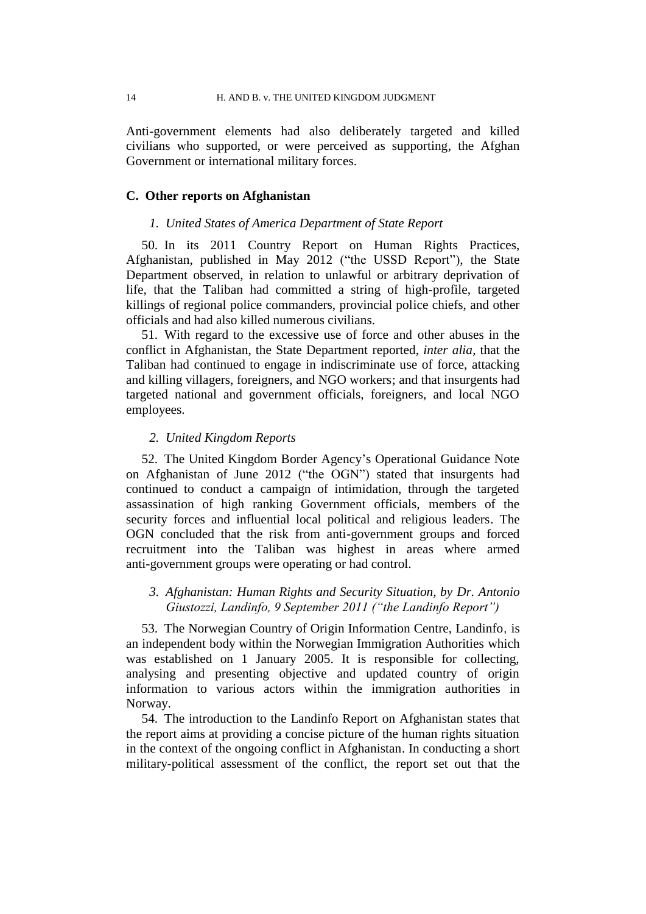Anti-government elements had also deliberately targeted and killed civilians who supported, or were perceived as supporting, the Afghan Government or international military forces.

# **C. Other reports on Afghanistan**

### *1. United States of America Department of State Report*

50. In its 2011 Country Report on Human Rights Practices, Afghanistan, published in May 2012 ("the USSD Report"), the State Department observed, in relation to unlawful or arbitrary deprivation of life, that the Taliban had committed a string of high-profile, targeted killings of regional police commanders, provincial police chiefs, and other officials and had also killed numerous civilians.

<span id="page-15-1"></span>51. With regard to the excessive use of force and other abuses in the conflict in Afghanistan, the State Department reported, *inter alia*, that the Taliban had continued to engage in indiscriminate use of force, attacking and killing villagers, foreigners, and NGO workers; and that insurgents had targeted national and government officials, foreigners, and local NGO employees.

## *2. United Kingdom Reports*

<span id="page-15-2"></span>52. The United Kingdom Border Agency's Operational Guidance Note on Afghanistan of June 2012 ("the OGN") stated that insurgents had continued to conduct a campaign of intimidation, through the targeted assassination of high ranking Government officials, members of the security forces and influential local political and religious leaders. The OGN concluded that the risk from anti-government groups and forced recruitment into the Taliban was highest in areas where armed anti-government groups were operating or had control.

# *3. Afghanistan: Human Rights and Security Situation, by Dr. Antonio Giustozzi, Landinfo, 9 September 2011 ("the Landinfo Report")*

<span id="page-15-0"></span>53. The Norwegian Country of Origin Information Centre, Landinfo, is an independent body within the Norwegian Immigration Authorities which was established on 1 January 2005. It is responsible for collecting, analysing and presenting objective and updated country of origin information to various actors within the immigration authorities in Norway.

54. The introduction to the Landinfo Report on Afghanistan states that the report aims at providing a concise picture of the human rights situation in the context of the ongoing conflict in Afghanistan. In conducting a short military-political assessment of the conflict, the report set out that the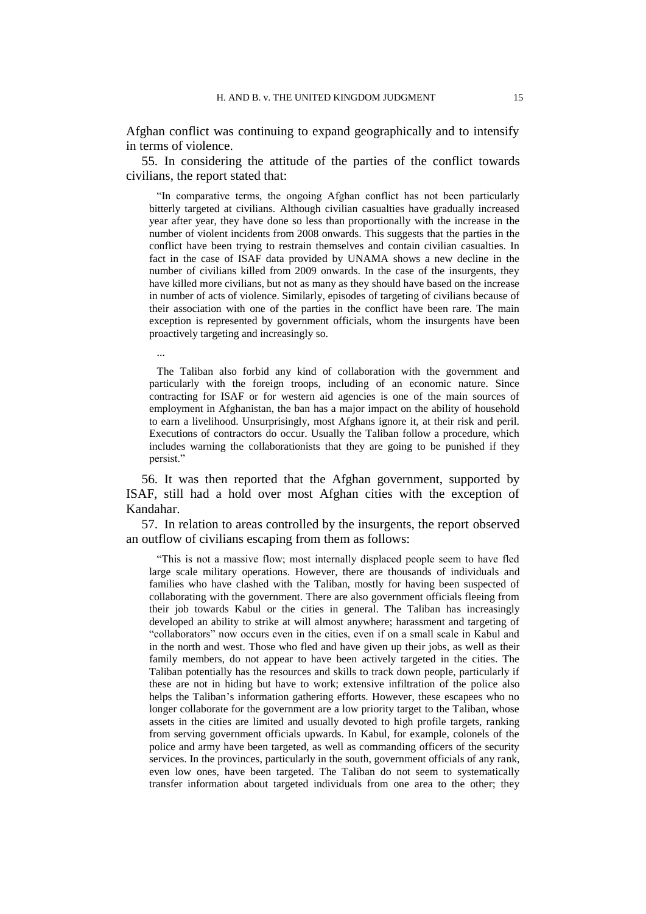Afghan conflict was continuing to expand geographically and to intensify in terms of violence.

<span id="page-16-0"></span>55. In considering the attitude of the parties of the conflict towards civilians, the report stated that:

"In comparative terms, the ongoing Afghan conflict has not been particularly bitterly targeted at civilians. Although civilian casualties have gradually increased year after year, they have done so less than proportionally with the increase in the number of violent incidents from 2008 onwards. This suggests that the parties in the conflict have been trying to restrain themselves and contain civilian casualties. In fact in the case of ISAF data provided by UNAMA shows a new decline in the number of civilians killed from 2009 onwards. In the case of the insurgents, they have killed more civilians, but not as many as they should have based on the increase in number of acts of violence. Similarly, episodes of targeting of civilians because of their association with one of the parties in the conflict have been rare. The main exception is represented by government officials, whom the insurgents have been proactively targeting and increasingly so.

...

The Taliban also forbid any kind of collaboration with the government and particularly with the foreign troops, including of an economic nature. Since contracting for ISAF or for western aid agencies is one of the main sources of employment in Afghanistan, the ban has a major impact on the ability of household to earn a livelihood. Unsurprisingly, most Afghans ignore it, at their risk and peril. Executions of contractors do occur. Usually the Taliban follow a procedure, which includes warning the collaborationists that they are going to be punished if they persist."

<span id="page-16-1"></span>56. It was then reported that the Afghan government, supported by ISAF, still had a hold over most Afghan cities with the exception of Kandahar.

<span id="page-16-2"></span>57. In relation to areas controlled by the insurgents, the report observed an outflow of civilians escaping from them as follows:

"This is not a massive flow; most internally displaced people seem to have fled large scale military operations. However, there are thousands of individuals and families who have clashed with the Taliban, mostly for having been suspected of collaborating with the government. There are also government officials fleeing from their job towards Kabul or the cities in general. The Taliban has increasingly developed an ability to strike at will almost anywhere; harassment and targeting of "collaborators" now occurs even in the cities, even if on a small scale in Kabul and in the north and west. Those who fled and have given up their jobs, as well as their family members, do not appear to have been actively targeted in the cities. The Taliban potentially has the resources and skills to track down people, particularly if these are not in hiding but have to work; extensive infiltration of the police also helps the Taliban's information gathering efforts. However, these escapees who no longer collaborate for the government are a low priority target to the Taliban, whose assets in the cities are limited and usually devoted to high profile targets, ranking from serving government officials upwards. In Kabul, for example, colonels of the police and army have been targeted, as well as commanding officers of the security services. In the provinces, particularly in the south, government officials of any rank, even low ones, have been targeted. The Taliban do not seem to systematically transfer information about targeted individuals from one area to the other; they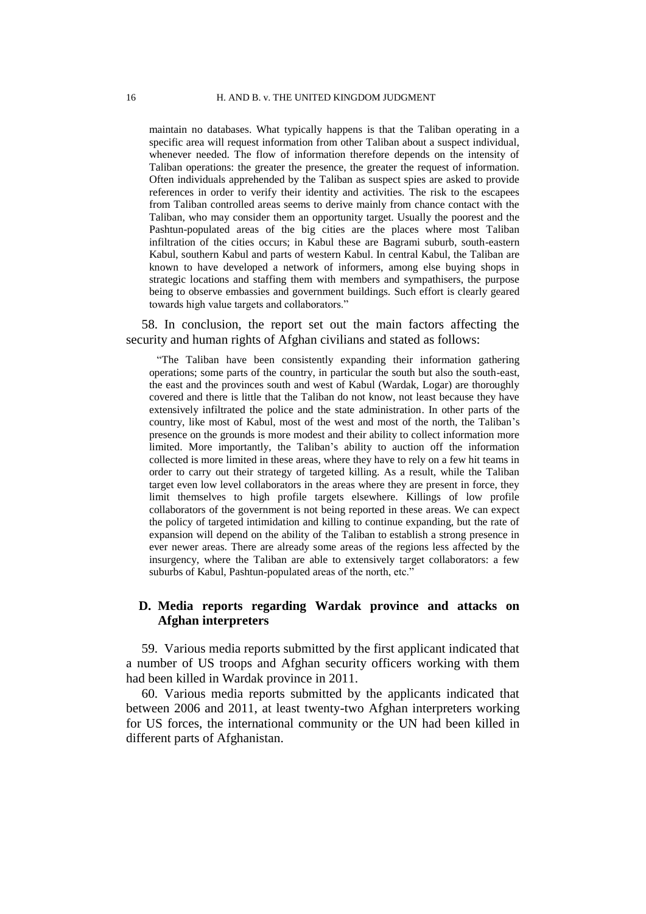maintain no databases. What typically happens is that the Taliban operating in a specific area will request information from other Taliban about a suspect individual, whenever needed. The flow of information therefore depends on the intensity of Taliban operations: the greater the presence, the greater the request of information. Often individuals apprehended by the Taliban as suspect spies are asked to provide references in order to verify their identity and activities. The risk to the escapees from Taliban controlled areas seems to derive mainly from chance contact with the Taliban, who may consider them an opportunity target. Usually the poorest and the Pashtun-populated areas of the big cities are the places where most Taliban infiltration of the cities occurs; in Kabul these are Bagrami suburb, south-eastern Kabul, southern Kabul and parts of western Kabul. In central Kabul, the Taliban are known to have developed a network of informers, among else buying shops in strategic locations and staffing them with members and sympathisers, the purpose being to observe embassies and government buildings. Such effort is clearly geared towards high value targets and collaborators."

<span id="page-17-0"></span>58. In conclusion, the report set out the main factors affecting the security and human rights of Afghan civilians and stated as follows:

"The Taliban have been consistently expanding their information gathering operations; some parts of the country, in particular the south but also the south-east, the east and the provinces south and west of Kabul (Wardak, Logar) are thoroughly covered and there is little that the Taliban do not know, not least because they have extensively infiltrated the police and the state administration. In other parts of the country, like most of Kabul, most of the west and most of the north, the Taliban's presence on the grounds is more modest and their ability to collect information more limited. More importantly, the Taliban's ability to auction off the information collected is more limited in these areas, where they have to rely on a few hit teams in order to carry out their strategy of targeted killing. As a result, while the Taliban target even low level collaborators in the areas where they are present in force, they limit themselves to high profile targets elsewhere. Killings of low profile collaborators of the government is not being reported in these areas. We can expect the policy of targeted intimidation and killing to continue expanding, but the rate of expansion will depend on the ability of the Taliban to establish a strong presence in ever newer areas. There are already some areas of the regions less affected by the insurgency, where the Taliban are able to extensively target collaborators: a few suburbs of Kabul, Pashtun-populated areas of the north, etc."

# **D. Media reports regarding Wardak province and attacks on Afghan interpreters**

<span id="page-17-1"></span>59. Various media reports submitted by the first applicant indicated that a number of US troops and Afghan security officers working with them had been killed in Wardak province in 2011.

<span id="page-17-2"></span>60. Various media reports submitted by the applicants indicated that between 2006 and 2011, at least twenty-two Afghan interpreters working for US forces, the international community or the UN had been killed in different parts of Afghanistan.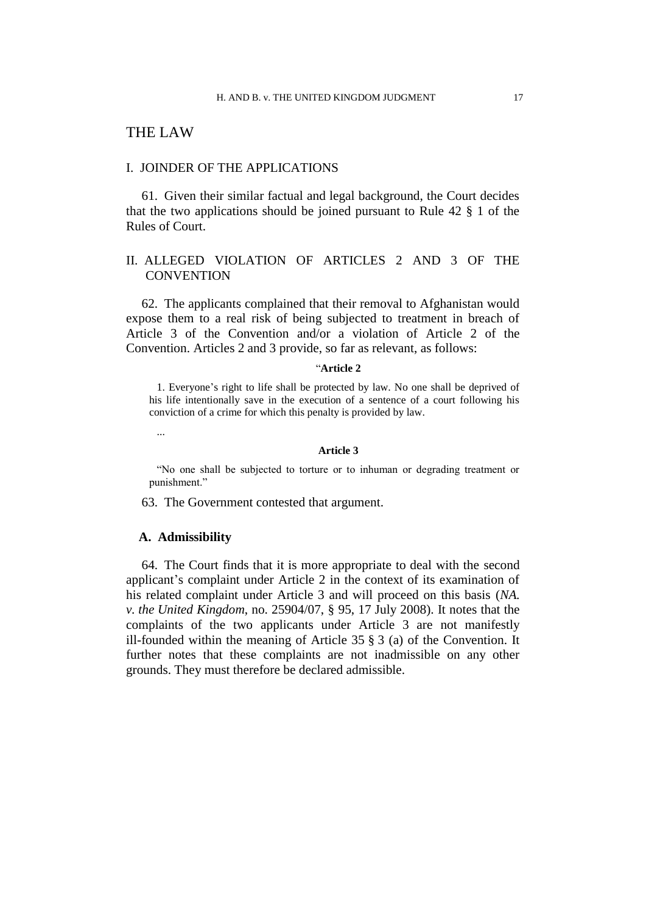# THE LAW

### I. JOINDER OF THE APPLICATIONS

61. Given their similar factual and legal background, the Court decides that the two applications should be joined pursuant to Rule 42 § 1 of the Rules of Court.

# II. ALLEGED VIOLATION OF ARTICLES 2 AND 3 OF THE **CONVENTION**

62. The applicants complained that their removal to Afghanistan would expose them to a real risk of being subjected to treatment in breach of Article 3 of the Convention and/or a violation of Article 2 of the Convention. Articles 2 and 3 provide, so far as relevant, as follows:

### "**Article 2**

1. Everyone's right to life shall be protected by law. No one shall be deprived of his life intentionally save in the execution of a sentence of a court following his conviction of a crime for which this penalty is provided by law.

...

#### **Article 3**

"No one shall be subjected to torture or to inhuman or degrading treatment or punishment."

63. The Government contested that argument.

### **A. Admissibility**

64. The Court finds that it is more appropriate to deal with the second applicant's complaint under Article 2 in the context of its examination of his related complaint under Article 3 and will proceed on this basis (*NA. v. the United Kingdom*, no. 25904/07, § 95, 17 July 2008). It notes that the complaints of the two applicants under Article 3 are not manifestly ill-founded within the meaning of Article 35 § 3 (a) of the Convention. It further notes that these complaints are not inadmissible on any other grounds. They must therefore be declared admissible.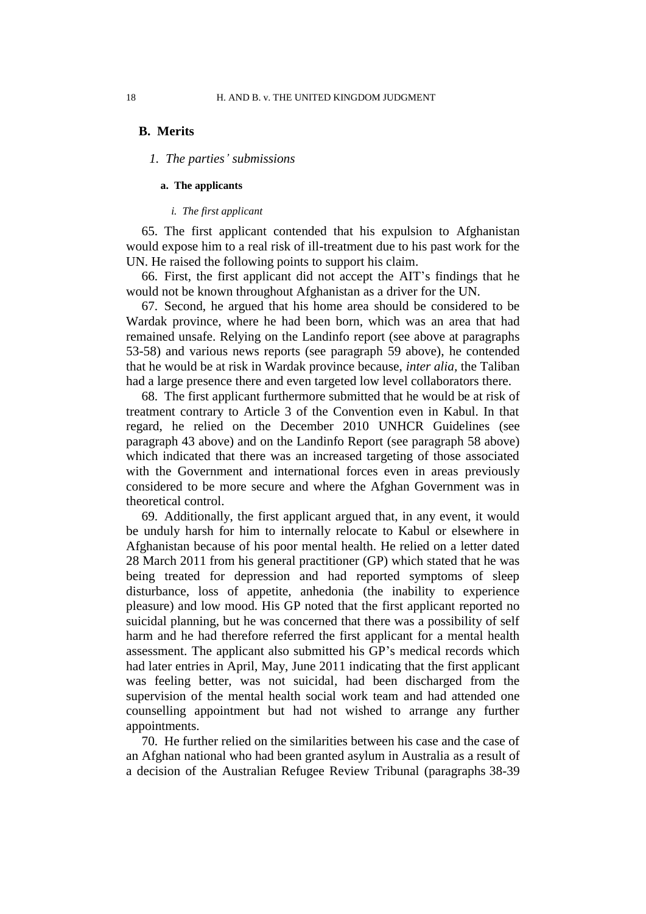### **B. Merits**

### *1. The parties' submissions*

### **a. The applicants**

## *i. The first applicant*

65. The first applicant contended that his expulsion to Afghanistan would expose him to a real risk of ill-treatment due to his past work for the UN. He raised the following points to support his claim.

<span id="page-19-0"></span>66. First, the first applicant did not accept the AIT's findings that he would not be known throughout Afghanistan as a driver for the UN.

<span id="page-19-1"></span>67. Second, he argued that his home area should be considered to be Wardak province, where he had been born, which was an area that had remained unsafe. Relying on the Landinfo report (see above at paragraphs [53](#page-15-0)[-58\)](#page-17-0) and various news reports (see paragraph [59](#page-17-1) above), he contended that he would be at risk in Wardak province because, *inter alia,* the Taliban had a large presence there and even targeted low level collaborators there.

68. The first applicant furthermore submitted that he would be at risk of treatment contrary to Article 3 of the Convention even in Kabul. In that regard, he relied on the December 2010 UNHCR Guidelines (see paragraph [43](#page-12-2) above) and on the Landinfo Report (see paragraph [58](#page-17-0) above) which indicated that there was an increased targeting of those associated with the Government and international forces even in areas previously considered to be more secure and where the Afghan Government was in theoretical control.

69. Additionally, the first applicant argued that, in any event, it would be unduly harsh for him to internally relocate to Kabul or elsewhere in Afghanistan because of his poor mental health. He relied on a letter dated 28 March 2011 from his general practitioner (GP) which stated that he was being treated for depression and had reported symptoms of sleep disturbance, loss of appetite, anhedonia (the inability to experience pleasure) and low mood. His GP noted that the first applicant reported no suicidal planning, but he was concerned that there was a possibility of self harm and he had therefore referred the first applicant for a mental health assessment. The applicant also submitted his GP's medical records which had later entries in April, May, June 2011 indicating that the first applicant was feeling better, was not suicidal, had been discharged from the supervision of the mental health social work team and had attended one counselling appointment but had not wished to arrange any further appointments.

70. He further relied on the similarities between his case and the case of an Afghan national who had been granted asylum in Australia as a result of a decision of the Australian Refugee Review Tribunal (paragraphs [38](#page-11-2)[-39](#page-11-3)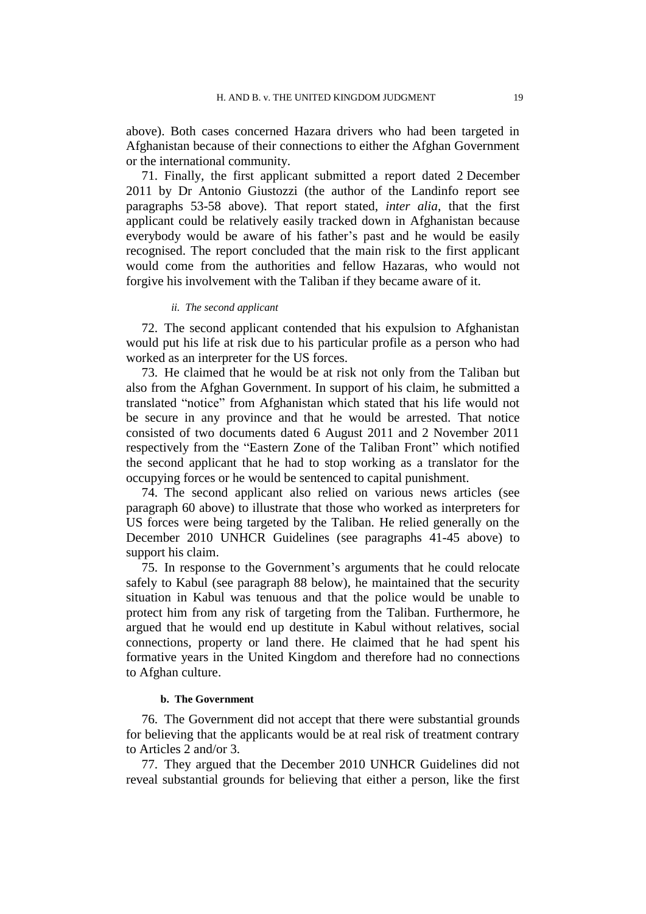above). Both cases concerned Hazara drivers who had been targeted in Afghanistan because of their connections to either the Afghan Government or the international community.

<span id="page-20-0"></span>71. Finally, the first applicant submitted a report dated 2 December 2011 by Dr Antonio Giustozzi (the author of the Landinfo report see paragraphs [53](#page-15-0)[-58](#page-17-0) above). That report stated, *inter alia,* that the first applicant could be relatively easily tracked down in Afghanistan because everybody would be aware of his father's past and he would be easily recognised. The report concluded that the main risk to the first applicant would come from the authorities and fellow Hazaras, who would not forgive his involvement with the Taliban if they became aware of it.

### *ii. The second applicant*

72. The second applicant contended that his expulsion to Afghanistan would put his life at risk due to his particular profile as a person who had worked as an interpreter for the US forces.

<span id="page-20-1"></span>73. He claimed that he would be at risk not only from the Taliban but also from the Afghan Government. In support of his claim, he submitted a translated "notice" from Afghanistan which stated that his life would not be secure in any province and that he would be arrested. That notice consisted of two documents dated 6 August 2011 and 2 November 2011 respectively from the "Eastern Zone of the Taliban Front" which notified the second applicant that he had to stop working as a translator for the occupying forces or he would be sentenced to capital punishment.

<span id="page-20-2"></span>74. The second applicant also relied on various news articles (see paragraph [60](#page-17-2) above) to illustrate that those who worked as interpreters for US forces were being targeted by the Taliban. He relied generally on the December 2010 UNHCR Guidelines (see paragraphs [41](#page-12-0)[-45](#page-13-0) above) to support his claim.

75. In response to the Government's arguments that he could relocate safely to Kabul (see paragraph [88](#page-23-0) below), he maintained that the security situation in Kabul was tenuous and that the police would be unable to protect him from any risk of targeting from the Taliban. Furthermore, he argued that he would end up destitute in Kabul without relatives, social connections, property or land there. He claimed that he had spent his formative years in the United Kingdom and therefore had no connections to Afghan culture.

#### **b. The Government**

76. The Government did not accept that there were substantial grounds for believing that the applicants would be at real risk of treatment contrary to Articles 2 and/or 3.

77. They argued that the December 2010 UNHCR Guidelines did not reveal substantial grounds for believing that either a person, like the first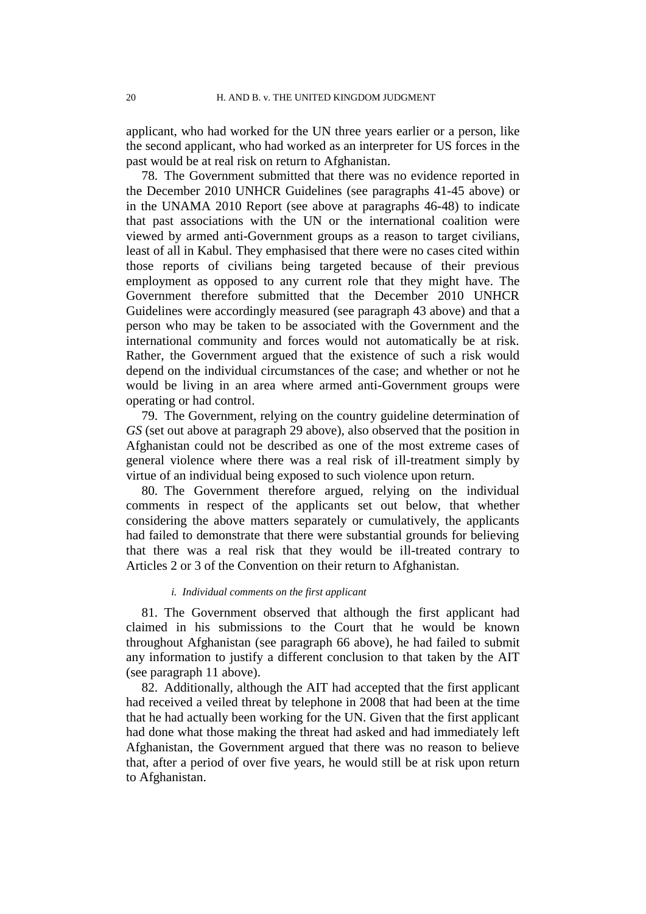applicant, who had worked for the UN three years earlier or a person, like the second applicant, who had worked as an interpreter for US forces in the past would be at real risk on return to Afghanistan.

78. The Government submitted that there was no evidence reported in the December 2010 UNHCR Guidelines (see paragraphs [41](#page-12-0)[-45](#page-13-0) above) or in the UNAMA 2010 Report (see above at paragraphs [46](#page-14-1)[-48\)](#page-14-2) to indicate that past associations with the UN or the international coalition were viewed by armed anti-Government groups as a reason to target civilians, least of all in Kabul. They emphasised that there were no cases cited within those reports of civilians being targeted because of their previous employment as opposed to any current role that they might have. The Government therefore submitted that the December 2010 UNHCR Guidelines were accordingly measured (see paragraph [43](#page-12-2) above) and that a person who may be taken to be associated with the Government and the international community and forces would not automatically be at risk. Rather, the Government argued that the existence of such a risk would depend on the individual circumstances of the case; and whether or not he would be living in an area where armed anti-Government groups were operating or had control.

79. The Government, relying on the country guideline determination of *GS* (set out above at paragraph [29](#page-9-0) above), also observed that the position in Afghanistan could not be described as one of the most extreme cases of general violence where there was a real risk of ill-treatment simply by virtue of an individual being exposed to such violence upon return.

80. The Government therefore argued, relying on the individual comments in respect of the applicants set out below, that whether considering the above matters separately or cumulatively, the applicants had failed to demonstrate that there were substantial grounds for believing that there was a real risk that they would be ill-treated contrary to Articles 2 or 3 of the Convention on their return to Afghanistan.

### *i. Individual comments on the first applicant*

81. The Government observed that although the first applicant had claimed in his submissions to the Court that he would be known throughout Afghanistan (see paragraph [66](#page-19-0) above), he had failed to submit any information to justify a different conclusion to that taken by the AIT (see paragraph [11](#page-4-0) above).

82. Additionally, although the AIT had accepted that the first applicant had received a veiled threat by telephone in 2008 that had been at the time that he had actually been working for the UN. Given that the first applicant had done what those making the threat had asked and had immediately left Afghanistan, the Government argued that there was no reason to believe that, after a period of over five years, he would still be at risk upon return to Afghanistan.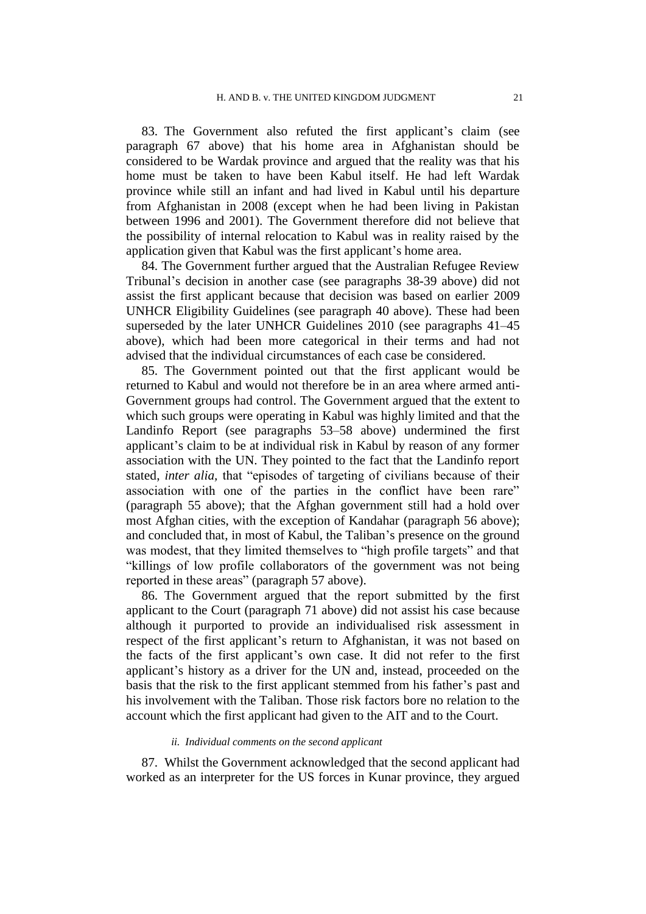83. The Government also refuted the first applicant's claim (see paragraph [67](#page-19-1) above) that his home area in Afghanistan should be considered to be Wardak province and argued that the reality was that his home must be taken to have been Kabul itself. He had left Wardak province while still an infant and had lived in Kabul until his departure from Afghanistan in 2008 (except when he had been living in Pakistan between 1996 and 2001). The Government therefore did not believe that the possibility of internal relocation to Kabul was in reality raised by the application given that Kabul was the first applicant's home area.

84. The Government further argued that the Australian Refugee Review Tribunal's decision in another case (see paragraphs [38](#page-11-2)[-39](#page-11-3) above) did not assist the first applicant because that decision was based on earlier 2009 UNHCR Eligibility Guidelines (see paragraph [40](#page-12-1) above). These had been superseded by the later UNHCR Guidelines 2010 (see paragraphs [41](#page-12-0)[–45](#page-13-0) above), which had been more categorical in their terms and had not advised that the individual circumstances of each case be considered.

85. The Government pointed out that the first applicant would be returned to Kabul and would not therefore be in an area where armed anti-Government groups had control. The Government argued that the extent to which such groups were operating in Kabul was highly limited and that the Landinfo Report (see paragraphs [53–](#page-15-0)[58](#page-17-0) above) undermined the first applicant's claim to be at individual risk in Kabul by reason of any former association with the UN. They pointed to the fact that the Landinfo report stated, *inter alia,* that "episodes of targeting of civilians because of their association with one of the parties in the conflict have been rare" (paragraph [55](#page-16-0) above); that the Afghan government still had a hold over most Afghan cities, with the exception of Kandahar (paragraph [56](#page-16-1) above); and concluded that, in most of Kabul, the Taliban's presence on the ground was modest, that they limited themselves to "high profile targets" and that "killings of low profile collaborators of the government was not being reported in these areas" (paragraph [57](#page-16-2) above).

<span id="page-22-0"></span>86. The Government argued that the report submitted by the first applicant to the Court (paragraph [71](#page-20-0) above) did not assist his case because although it purported to provide an individualised risk assessment in respect of the first applicant's return to Afghanistan, it was not based on the facts of the first applicant's own case. It did not refer to the first applicant's history as a driver for the UN and, instead, proceeded on the basis that the risk to the first applicant stemmed from his father's past and his involvement with the Taliban. Those risk factors bore no relation to the account which the first applicant had given to the AIT and to the Court.

### *ii. Individual comments on the second applicant*

87. Whilst the Government acknowledged that the second applicant had worked as an interpreter for the US forces in Kunar province, they argued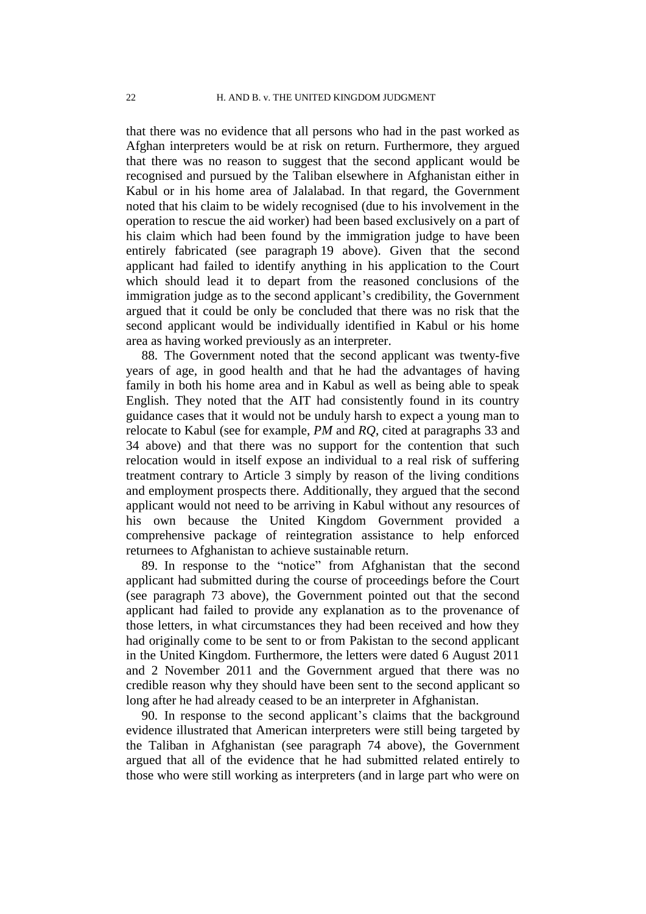that there was no evidence that all persons who had in the past worked as Afghan interpreters would be at risk on return. Furthermore, they argued that there was no reason to suggest that the second applicant would be recognised and pursued by the Taliban elsewhere in Afghanistan either in Kabul or in his home area of Jalalabad. In that regard, the Government noted that his claim to be widely recognised (due to his involvement in the operation to rescue the aid worker) had been based exclusively on a part of his claim which had been found by the immigration judge to have been entirely fabricated (see paragraph [19](#page-6-0) above). Given that the second applicant had failed to identify anything in his application to the Court which should lead it to depart from the reasoned conclusions of the immigration judge as to the second applicant's credibility, the Government argued that it could be only be concluded that there was no risk that the second applicant would be individually identified in Kabul or his home area as having worked previously as an interpreter.

<span id="page-23-0"></span>88. The Government noted that the second applicant was twenty-five years of age, in good health and that he had the advantages of having family in both his home area and in Kabul as well as being able to speak English. They noted that the AIT had consistently found in its country guidance cases that it would not be unduly harsh to expect a young man to relocate to Kabul (see for example, *PM* and *RQ*, cited at paragraphs [33](#page-10-0) and [34](#page-10-1) above) and that there was no support for the contention that such relocation would in itself expose an individual to a real risk of suffering treatment contrary to Article 3 simply by reason of the living conditions and employment prospects there. Additionally, they argued that the second applicant would not need to be arriving in Kabul without any resources of his own because the United Kingdom Government provided a comprehensive package of reintegration assistance to help enforced returnees to Afghanistan to achieve sustainable return.

89. In response to the "notice" from Afghanistan that the second applicant had submitted during the course of proceedings before the Court (see paragraph [73](#page-20-1) above), the Government pointed out that the second applicant had failed to provide any explanation as to the provenance of those letters, in what circumstances they had been received and how they had originally come to be sent to or from Pakistan to the second applicant in the United Kingdom. Furthermore, the letters were dated 6 August 2011 and 2 November 2011 and the Government argued that there was no credible reason why they should have been sent to the second applicant so long after he had already ceased to be an interpreter in Afghanistan.

90. In response to the second applicant's claims that the background evidence illustrated that American interpreters were still being targeted by the Taliban in Afghanistan (see paragraph [74](#page-20-2) above), the Government argued that all of the evidence that he had submitted related entirely to those who were still working as interpreters (and in large part who were on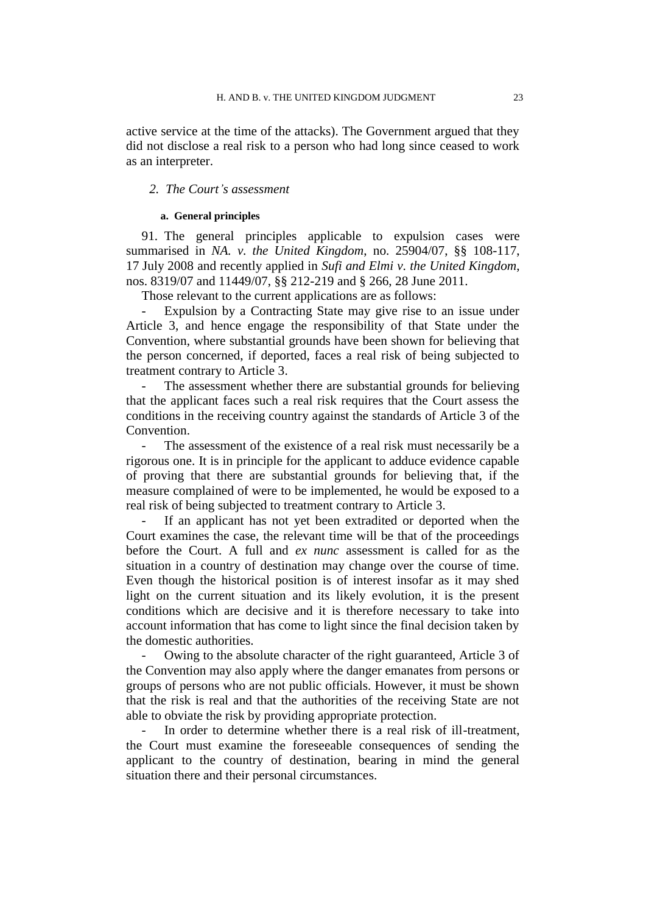active service at the time of the attacks). The Government argued that they did not disclose a real risk to a person who had long since ceased to work as an interpreter.

## *2. The Court's assessment*

### **a. General principles**

91. The general principles applicable to expulsion cases were summarised in *NA. v. the United Kingdom*, no. 25904/07, §§ 108-117, 17 July 2008 and recently applied in *Sufi and Elmi v. the United Kingdom*, nos. 8319/07 and 11449/07, §§ 212-219 and § 266, 28 June 2011.

Those relevant to the current applications are as follows:

Expulsion by a Contracting State may give rise to an issue under Article 3, and hence engage the responsibility of that State under the Convention, where substantial grounds have been shown for believing that the person concerned, if deported, faces a real risk of being subjected to treatment contrary to Article 3.

The assessment whether there are substantial grounds for believing that the applicant faces such a real risk requires that the Court assess the conditions in the receiving country against the standards of Article 3 of the Convention.

The assessment of the existence of a real risk must necessarily be a rigorous one. It is in principle for the applicant to adduce evidence capable of proving that there are substantial grounds for believing that, if the measure complained of were to be implemented, he would be exposed to a real risk of being subjected to treatment contrary to Article 3.

If an applicant has not yet been extradited or deported when the Court examines the case, the relevant time will be that of the proceedings before the Court. A full and *ex nunc* assessment is called for as the situation in a country of destination may change over the course of time. Even though the historical position is of interest insofar as it may shed light on the current situation and its likely evolution, it is the present conditions which are decisive and it is therefore necessary to take into account information that has come to light since the final decision taken by the domestic authorities.

Owing to the absolute character of the right guaranteed, Article 3 of the Convention may also apply where the danger emanates from persons or groups of persons who are not public officials. However, it must be shown that the risk is real and that the authorities of the receiving State are not able to obviate the risk by providing appropriate protection.

In order to determine whether there is a real risk of ill-treatment, the Court must examine the foreseeable consequences of sending the applicant to the country of destination, bearing in mind the general situation there and their personal circumstances.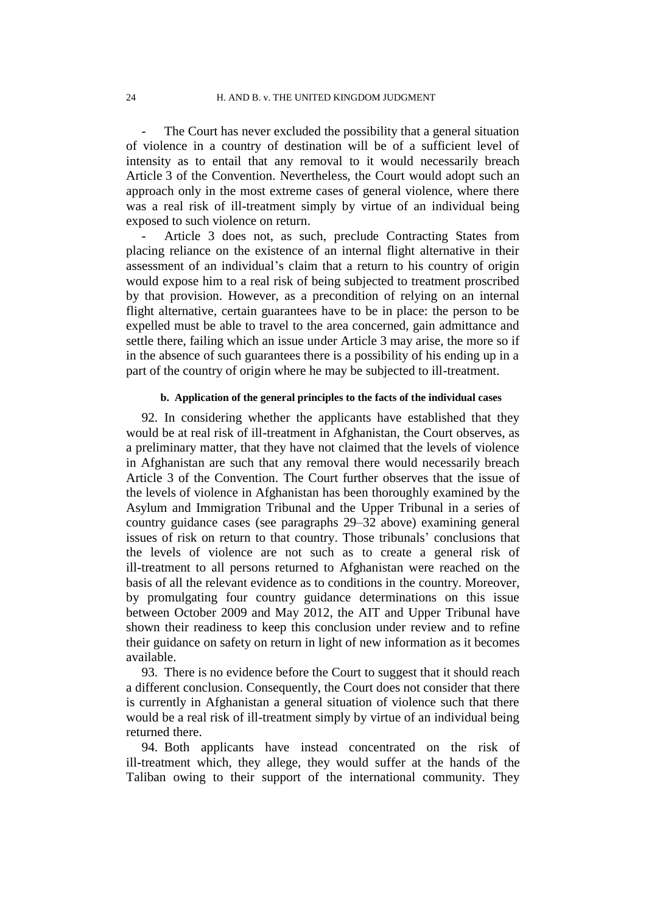The Court has never excluded the possibility that a general situation of violence in a country of destination will be of a sufficient level of intensity as to entail that any removal to it would necessarily breach Article 3 of the Convention. Nevertheless, the Court would adopt such an approach only in the most extreme cases of general violence, where there was a real risk of ill-treatment simply by virtue of an individual being exposed to such violence on return.

Article 3 does not, as such, preclude Contracting States from placing reliance on the existence of an internal flight alternative in their assessment of an individual's claim that a return to his country of origin would expose him to a real risk of being subjected to treatment proscribed by that provision. However, as a precondition of relying on an internal flight alternative, certain guarantees have to be in place: the person to be expelled must be able to travel to the area concerned, gain admittance and settle there, failing which an issue under Article 3 may arise, the more so if in the absence of such guarantees there is a possibility of his ending up in a part of the country of origin where he may be subjected to ill-treatment.

### **b. Application of the general principles to the facts of the individual cases**

<span id="page-25-0"></span>92. In considering whether the applicants have established that they would be at real risk of ill-treatment in Afghanistan, the Court observes, as a preliminary matter, that they have not claimed that the levels of violence in Afghanistan are such that any removal there would necessarily breach Article 3 of the Convention. The Court further observes that the issue of the levels of violence in Afghanistan has been thoroughly examined by the Asylum and Immigration Tribunal and the Upper Tribunal in a series of country guidance cases (see paragraphs [29](#page-9-0)[–32](#page-9-1) above) examining general issues of risk on return to that country. Those tribunals' conclusions that the levels of violence are not such as to create a general risk of ill-treatment to all persons returned to Afghanistan were reached on the basis of all the relevant evidence as to conditions in the country. Moreover, by promulgating four country guidance determinations on this issue between October 2009 and May 2012, the AIT and Upper Tribunal have shown their readiness to keep this conclusion under review and to refine their guidance on safety on return in light of new information as it becomes available.

93. There is no evidence before the Court to suggest that it should reach a different conclusion. Consequently, the Court does not consider that there is currently in Afghanistan a general situation of violence such that there would be a real risk of ill-treatment simply by virtue of an individual being returned there.

94. Both applicants have instead concentrated on the risk of ill-treatment which, they allege, they would suffer at the hands of the Taliban owing to their support of the international community. They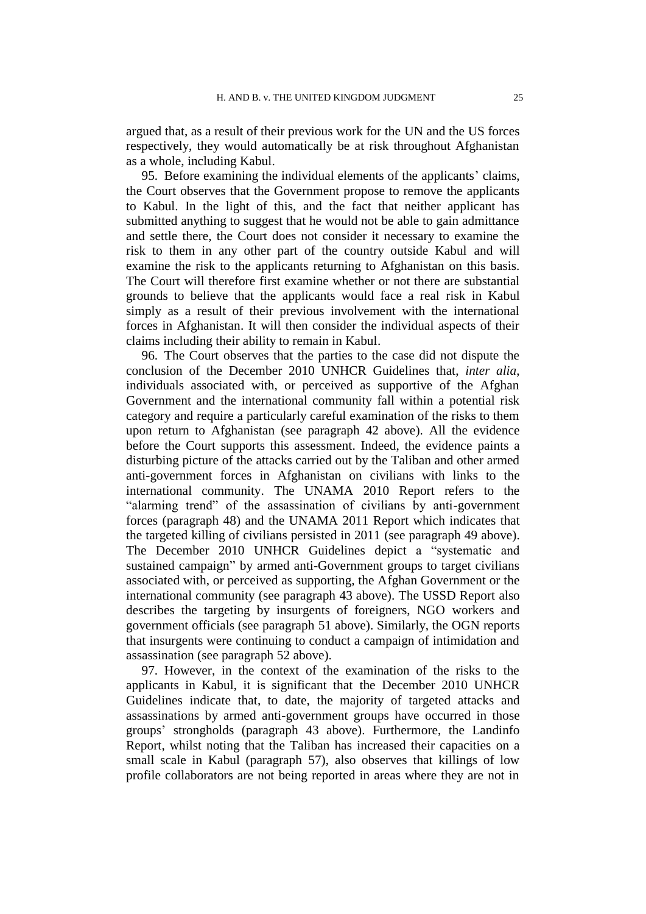argued that, as a result of their previous work for the UN and the US forces respectively, they would automatically be at risk throughout Afghanistan as a whole, including Kabul.

95. Before examining the individual elements of the applicants' claims, the Court observes that the Government propose to remove the applicants to Kabul. In the light of this, and the fact that neither applicant has submitted anything to suggest that he would not be able to gain admittance and settle there, the Court does not consider it necessary to examine the risk to them in any other part of the country outside Kabul and will examine the risk to the applicants returning to Afghanistan on this basis. The Court will therefore first examine whether or not there are substantial grounds to believe that the applicants would face a real risk in Kabul simply as a result of their previous involvement with the international forces in Afghanistan. It will then consider the individual aspects of their claims including their ability to remain in Kabul.

96. The Court observes that the parties to the case did not dispute the conclusion of the December 2010 UNHCR Guidelines that, *inter alia*, individuals associated with, or perceived as supportive of the Afghan Government and the international community fall within a potential risk category and require a particularly careful examination of the risks to them upon return to Afghanistan (see paragraph [42](#page-12-3) above). All the evidence before the Court supports this assessment. Indeed, the evidence paints a disturbing picture of the attacks carried out by the Taliban and other armed anti-government forces in Afghanistan on civilians with links to the international community. The UNAMA 2010 Report refers to the "alarming trend" of the assassination of civilians by anti-government forces (paragraph [48\)](#page-14-2) and the UNAMA 2011 Report which indicates that the targeted killing of civilians persisted in 2011 (see paragraph [49](#page-14-0) above). The December 2010 UNHCR Guidelines depict a "systematic and sustained campaign" by armed anti-Government groups to target civilians associated with, or perceived as supporting, the Afghan Government or the international community (see paragraph [43](#page-12-2) above). The USSD Report also describes the targeting by insurgents of foreigners, NGO workers and government officials (see paragraph [51](#page-15-1) above). Similarly, the OGN reports that insurgents were continuing to conduct a campaign of intimidation and assassination (see paragraph [52](#page-15-2) above).

97. However, in the context of the examination of the risks to the applicants in Kabul, it is significant that the December 2010 UNHCR Guidelines indicate that, to date, the majority of targeted attacks and assassinations by armed anti-government groups have occurred in those groups' strongholds (paragraph [43](#page-12-2) above). Furthermore, the Landinfo Report, whilst noting that the Taliban has increased their capacities on a small scale in Kabul (paragraph [57\)](#page-16-2), also observes that killings of low profile collaborators are not being reported in areas where they are not in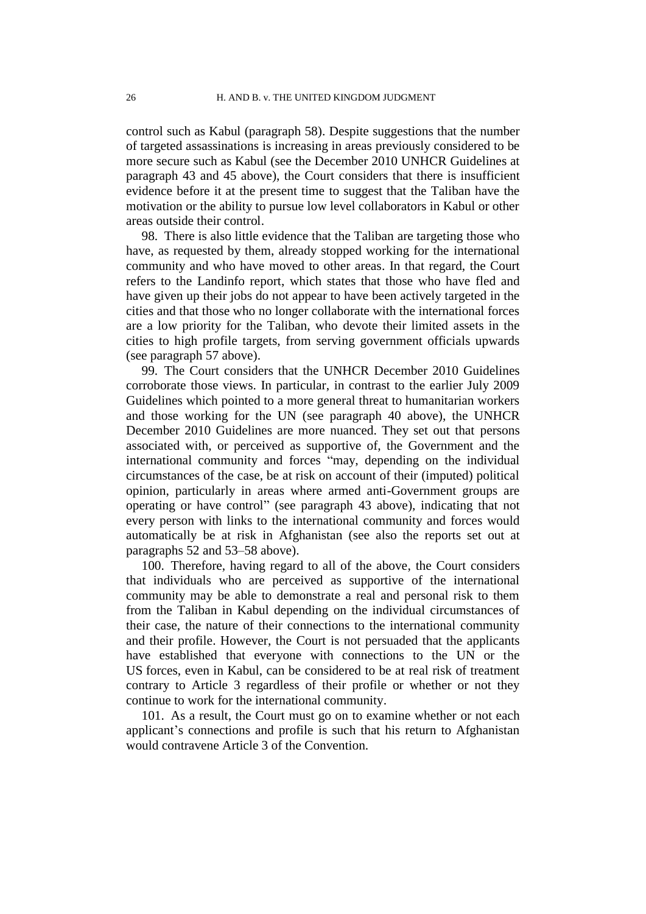control such as Kabul (paragraph [58\)](#page-17-0). Despite suggestions that the number of targeted assassinations is increasing in areas previously considered to be more secure such as Kabul (see the December 2010 UNHCR Guidelines at paragraph [43](#page-12-2) and [45](#page-13-0) above), the Court considers that there is insufficient evidence before it at the present time to suggest that the Taliban have the motivation or the ability to pursue low level collaborators in Kabul or other areas outside their control.

98. There is also little evidence that the Taliban are targeting those who have, as requested by them, already stopped working for the international community and who have moved to other areas. In that regard, the Court refers to the Landinfo report, which states that those who have fled and have given up their jobs do not appear to have been actively targeted in the cities and that those who no longer collaborate with the international forces are a low priority for the Taliban, who devote their limited assets in the cities to high profile targets, from serving government officials upwards (see paragraph [57](#page-16-2) above).

99. The Court considers that the UNHCR December 2010 Guidelines corroborate those views. In particular, in contrast to the earlier July 2009 Guidelines which pointed to a more general threat to humanitarian workers and those working for the UN (see paragraph [40](#page-12-1) above), the UNHCR December 2010 Guidelines are more nuanced. They set out that persons associated with, or perceived as supportive of, the Government and the international community and forces "may, depending on the individual circumstances of the case, be at risk on account of their (imputed) political opinion, particularly in areas where armed anti-Government groups are operating or have control" (see paragraph [43](#page-12-2) above), indicating that not every person with links to the international community and forces would automatically be at risk in Afghanistan (see also the reports set out at paragraphs [52](#page-15-2) and [53](#page-15-0)[–58](#page-17-0) above).

100. Therefore, having regard to all of the above, the Court considers that individuals who are perceived as supportive of the international community may be able to demonstrate a real and personal risk to them from the Taliban in Kabul depending on the individual circumstances of their case, the nature of their connections to the international community and their profile. However, the Court is not persuaded that the applicants have established that everyone with connections to the UN or the US forces, even in Kabul, can be considered to be at real risk of treatment contrary to Article 3 regardless of their profile or whether or not they continue to work for the international community.

<span id="page-27-0"></span>101. As a result, the Court must go on to examine whether or not each applicant's connections and profile is such that his return to Afghanistan would contravene Article 3 of the Convention.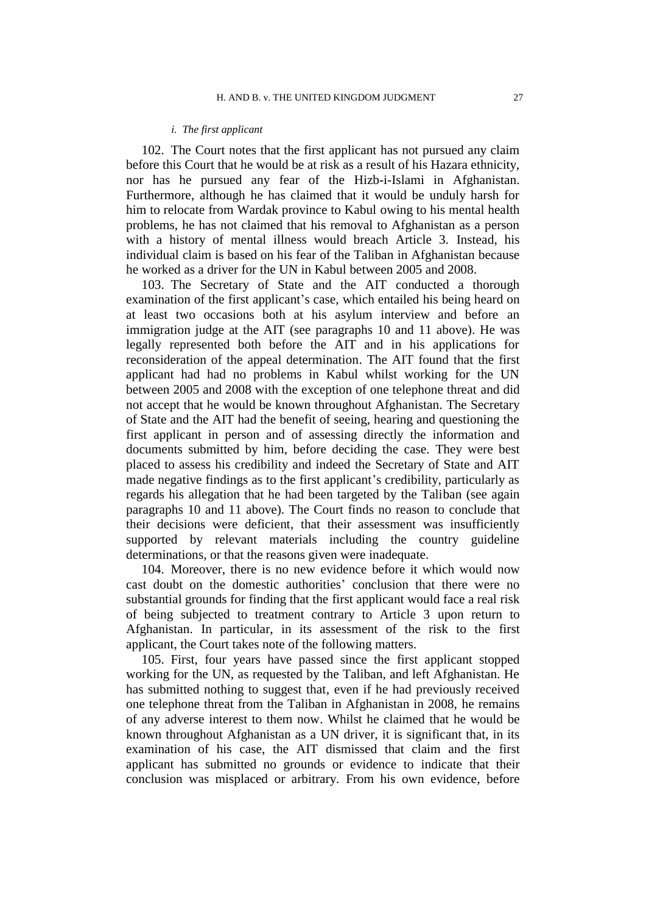#### *i. The first applicant*

102. The Court notes that the first applicant has not pursued any claim before this Court that he would be at risk as a result of his Hazara ethnicity, nor has he pursued any fear of the Hizb-i-Islami in Afghanistan. Furthermore, although he has claimed that it would be unduly harsh for him to relocate from Wardak province to Kabul owing to his mental health problems, he has not claimed that his removal to Afghanistan as a person with a history of mental illness would breach Article 3. Instead, his individual claim is based on his fear of the Taliban in Afghanistan because he worked as a driver for the UN in Kabul between 2005 and 2008.

103. The Secretary of State and the AIT conducted a thorough examination of the first applicant's case, which entailed his being heard on at least two occasions both at his asylum interview and before an immigration judge at the AIT (see paragraphs [10](#page-4-1) and [11](#page-4-0) above). He was legally represented both before the AIT and in his applications for reconsideration of the appeal determination. The AIT found that the first applicant had had no problems in Kabul whilst working for the UN between 2005 and 2008 with the exception of one telephone threat and did not accept that he would be known throughout Afghanistan. The Secretary of State and the AIT had the benefit of seeing, hearing and questioning the first applicant in person and of assessing directly the information and documents submitted by him, before deciding the case. They were best placed to assess his credibility and indeed the Secretary of State and AIT made negative findings as to the first applicant's credibility, particularly as regards his allegation that he had been targeted by the Taliban (see again paragraphs [10](#page-4-1) and [11](#page-4-0) above). The Court finds no reason to conclude that their decisions were deficient, that their assessment was insufficiently supported by relevant materials including the country guideline determinations, or that the reasons given were inadequate.

104. Moreover, there is no new evidence before it which would now cast doubt on the domestic authorities' conclusion that there were no substantial grounds for finding that the first applicant would face a real risk of being subjected to treatment contrary to Article 3 upon return to Afghanistan. In particular, in its assessment of the risk to the first applicant, the Court takes note of the following matters.

105. First, four years have passed since the first applicant stopped working for the UN, as requested by the Taliban, and left Afghanistan. He has submitted nothing to suggest that, even if he had previously received one telephone threat from the Taliban in Afghanistan in 2008, he remains of any adverse interest to them now. Whilst he claimed that he would be known throughout Afghanistan as a UN driver, it is significant that, in its examination of his case, the AIT dismissed that claim and the first applicant has submitted no grounds or evidence to indicate that their conclusion was misplaced or arbitrary. From his own evidence, before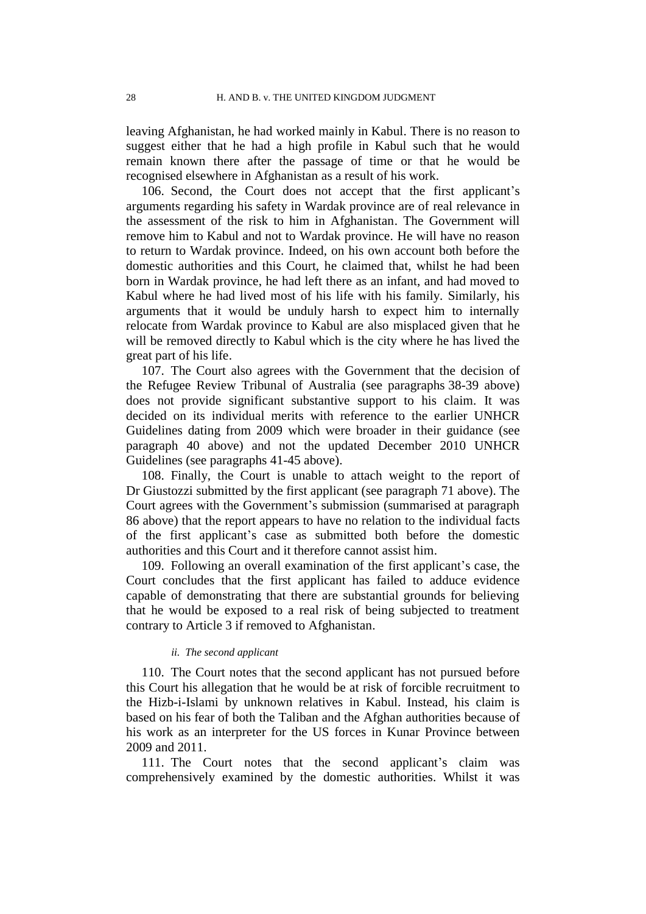leaving Afghanistan, he had worked mainly in Kabul. There is no reason to suggest either that he had a high profile in Kabul such that he would remain known there after the passage of time or that he would be recognised elsewhere in Afghanistan as a result of his work.

106. Second, the Court does not accept that the first applicant's arguments regarding his safety in Wardak province are of real relevance in the assessment of the risk to him in Afghanistan. The Government will remove him to Kabul and not to Wardak province. He will have no reason to return to Wardak province. Indeed, on his own account both before the domestic authorities and this Court, he claimed that, whilst he had been born in Wardak province, he had left there as an infant, and had moved to Kabul where he had lived most of his life with his family. Similarly, his arguments that it would be unduly harsh to expect him to internally relocate from Wardak province to Kabul are also misplaced given that he will be removed directly to Kabul which is the city where he has lived the great part of his life.

107. The Court also agrees with the Government that the decision of the Refugee Review Tribunal of Australia (see paragraphs [38-](#page-11-2)[39](#page-11-3) above) does not provide significant substantive support to his claim. It was decided on its individual merits with reference to the earlier UNHCR Guidelines dating from 2009 which were broader in their guidance (see paragraph [40](#page-12-1) above) and not the updated December 2010 UNHCR Guidelines (see paragraphs [41](#page-12-0)[-45](#page-13-0) above).

108. Finally, the Court is unable to attach weight to the report of Dr Giustozzi submitted by the first applicant (see paragraph [71](#page-20-0) above). The Court agrees with the Government's submission (summarised at paragraph [86](#page-22-0) above) that the report appears to have no relation to the individual facts of the first applicant's case as submitted both before the domestic authorities and this Court and it therefore cannot assist him.

109. Following an overall examination of the first applicant's case, the Court concludes that the first applicant has failed to adduce evidence capable of demonstrating that there are substantial grounds for believing that he would be exposed to a real risk of being subjected to treatment contrary to Article 3 if removed to Afghanistan.

### *ii. The second applicant*

110. The Court notes that the second applicant has not pursued before this Court his allegation that he would be at risk of forcible recruitment to the Hizb-i-Islami by unknown relatives in Kabul. Instead, his claim is based on his fear of both the Taliban and the Afghan authorities because of his work as an interpreter for the US forces in Kunar Province between 2009 and 2011.

111. The Court notes that the second applicant's claim was comprehensively examined by the domestic authorities. Whilst it was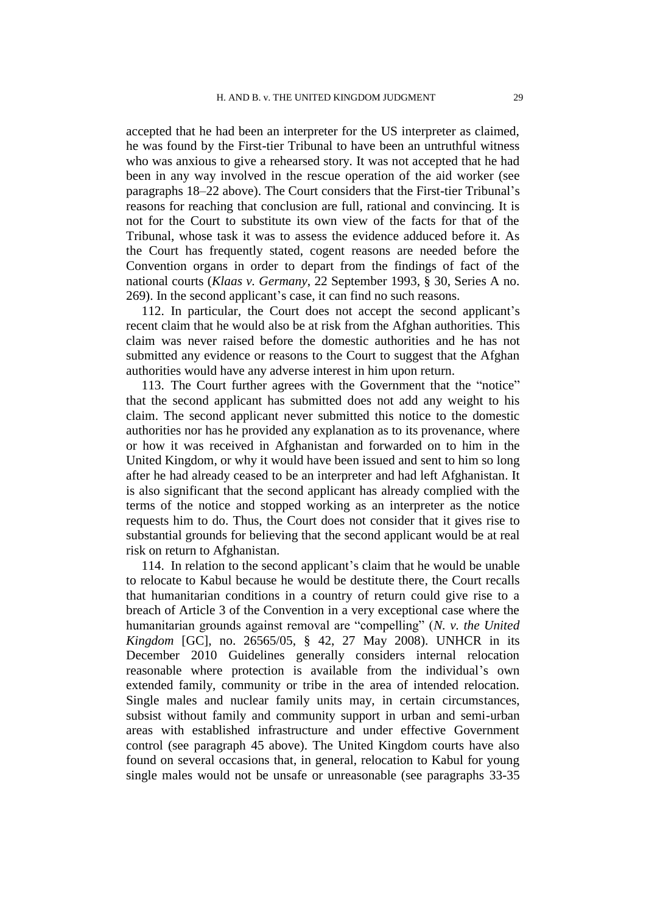accepted that he had been an interpreter for the US interpreter as claimed, he was found by the First-tier Tribunal to have been an untruthful witness who was anxious to give a rehearsed story. It was not accepted that he had been in any way involved in the rescue operation of the aid worker (see paragraphs [18](#page-6-1)[–22](#page-7-0) above). The Court considers that the First-tier Tribunal's reasons for reaching that conclusion are full, rational and convincing. It is not for the Court to substitute its own view of the facts for that of the Tribunal, whose task it was to assess the evidence adduced before it. As the Court has frequently stated, cogent reasons are needed before the Convention organs in order to depart from the findings of fact of the national courts (*Klaas v. Germany*, 22 September 1993, § 30, Series A no. 269). In the second applicant's case, it can find no such reasons.

112. In particular, the Court does not accept the second applicant's recent claim that he would also be at risk from the Afghan authorities. This claim was never raised before the domestic authorities and he has not submitted any evidence or reasons to the Court to suggest that the Afghan authorities would have any adverse interest in him upon return.

113. The Court further agrees with the Government that the "notice" that the second applicant has submitted does not add any weight to his claim. The second applicant never submitted this notice to the domestic authorities nor has he provided any explanation as to its provenance, where or how it was received in Afghanistan and forwarded on to him in the United Kingdom, or why it would have been issued and sent to him so long after he had already ceased to be an interpreter and had left Afghanistan. It is also significant that the second applicant has already complied with the terms of the notice and stopped working as an interpreter as the notice requests him to do. Thus, the Court does not consider that it gives rise to substantial grounds for believing that the second applicant would be at real risk on return to Afghanistan.

114. In relation to the second applicant's claim that he would be unable to relocate to Kabul because he would be destitute there, the Court recalls that humanitarian conditions in a country of return could give rise to a breach of Article 3 of the Convention in a very exceptional case where the humanitarian grounds against removal are "compelling" (*N. v. the United Kingdom* [GC], no. 26565/05, § 42, 27 May 2008). UNHCR in its December 2010 Guidelines generally considers internal relocation reasonable where protection is available from the individual's own extended family, community or tribe in the area of intended relocation. Single males and nuclear family units may, in certain circumstances, subsist without family and community support in urban and semi-urban areas with established infrastructure and under effective Government control (see paragraph [45](#page-13-0) above). The United Kingdom courts have also found on several occasions that, in general, relocation to Kabul for young single males would not be unsafe or unreasonable (see paragraphs [33](#page-10-0)[-35](#page-10-2)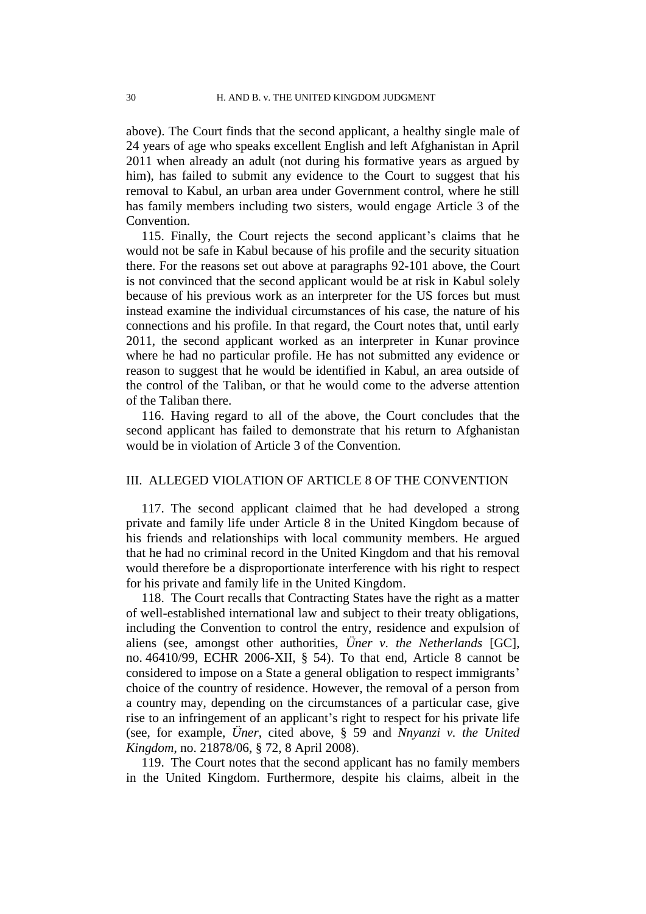above). The Court finds that the second applicant, a healthy single male of 24 years of age who speaks excellent English and left Afghanistan in April 2011 when already an adult (not during his formative years as argued by him), has failed to submit any evidence to the Court to suggest that his removal to Kabul, an urban area under Government control, where he still has family members including two sisters, would engage Article 3 of the Convention.

115. Finally, the Court rejects the second applicant's claims that he would not be safe in Kabul because of his profile and the security situation there. For the reasons set out above at paragraphs [92-](#page-25-0)[101](#page-27-0) above, the Court is not convinced that the second applicant would be at risk in Kabul solely because of his previous work as an interpreter for the US forces but must instead examine the individual circumstances of his case, the nature of his connections and his profile. In that regard, the Court notes that, until early 2011, the second applicant worked as an interpreter in Kunar province where he had no particular profile. He has not submitted any evidence or reason to suggest that he would be identified in Kabul, an area outside of the control of the Taliban, or that he would come to the adverse attention of the Taliban there.

116. Having regard to all of the above, the Court concludes that the second applicant has failed to demonstrate that his return to Afghanistan would be in violation of Article 3 of the Convention.

### III. ALLEGED VIOLATION OF ARTICLE 8 OF THE CONVENTION

117. The second applicant claimed that he had developed a strong private and family life under Article 8 in the United Kingdom because of his friends and relationships with local community members. He argued that he had no criminal record in the United Kingdom and that his removal would therefore be a disproportionate interference with his right to respect for his private and family life in the United Kingdom.

118. The Court recalls that Contracting States have the right as a matter of well-established international law and subject to their treaty obligations, including the Convention to control the entry, residence and expulsion of aliens (see, amongst other authorities, *Üner v. the Netherlands* [GC], no. 46410/99, ECHR 2006-XII, § 54). To that end, Article 8 cannot be considered to impose on a State a general obligation to respect immigrants' choice of the country of residence. However, the removal of a person from a country may, depending on the circumstances of a particular case, give rise to an infringement of an applicant's right to respect for his private life (see, for example, *Üner*, cited above, § 59 and *Nnyanzi v. the United Kingdom*, no. 21878/06, § 72, 8 April 2008).

119. The Court notes that the second applicant has no family members in the United Kingdom. Furthermore, despite his claims, albeit in the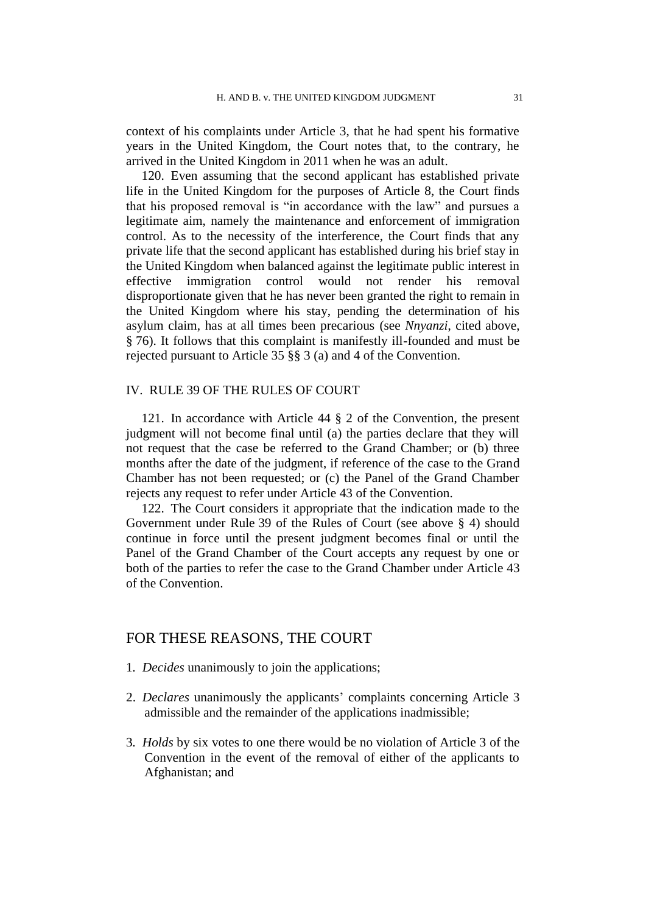context of his complaints under Article 3, that he had spent his formative years in the United Kingdom, the Court notes that, to the contrary, he arrived in the United Kingdom in 2011 when he was an adult.

120. Even assuming that the second applicant has established private life in the United Kingdom for the purposes of Article 8, the Court finds that his proposed removal is "in accordance with the law" and pursues a legitimate aim, namely the maintenance and enforcement of immigration control. As to the necessity of the interference, the Court finds that any private life that the second applicant has established during his brief stay in the United Kingdom when balanced against the legitimate public interest in effective immigration control would not render his removal disproportionate given that he has never been granted the right to remain in the United Kingdom where his stay, pending the determination of his asylum claim, has at all times been precarious (see *Nnyanzi*, cited above, § 76). It follows that this complaint is manifestly ill-founded and must be rejected pursuant to Article 35 §§ 3 (a) and 4 of the Convention.

### IV. RULE 39 OF THE RULES OF COURT

121. In accordance with Article 44 § 2 of the Convention, the present judgment will not become final until (a) the parties declare that they will not request that the case be referred to the Grand Chamber; or (b) three months after the date of the judgment, if reference of the case to the Grand Chamber has not been requested; or (c) the Panel of the Grand Chamber rejects any request to refer under Article 43 of the Convention.

122. The Court considers it appropriate that the indication made to the Government under Rule 39 of the Rules of Court (see above § 4) should continue in force until the present judgment becomes final or until the Panel of the Grand Chamber of the Court accepts any request by one or both of the parties to refer the case to the Grand Chamber under Article 43 of the Convention.

# FOR THESE REASONS, THE COURT

- 1*. Decides* unanimously to join the applications;
- 2. *Declares* unanimously the applicants' complaints concerning Article 3 admissible and the remainder of the applications inadmissible;
- 3*. Holds* by six votes to one there would be no violation of Article 3 of the Convention in the event of the removal of either of the applicants to Afghanistan; and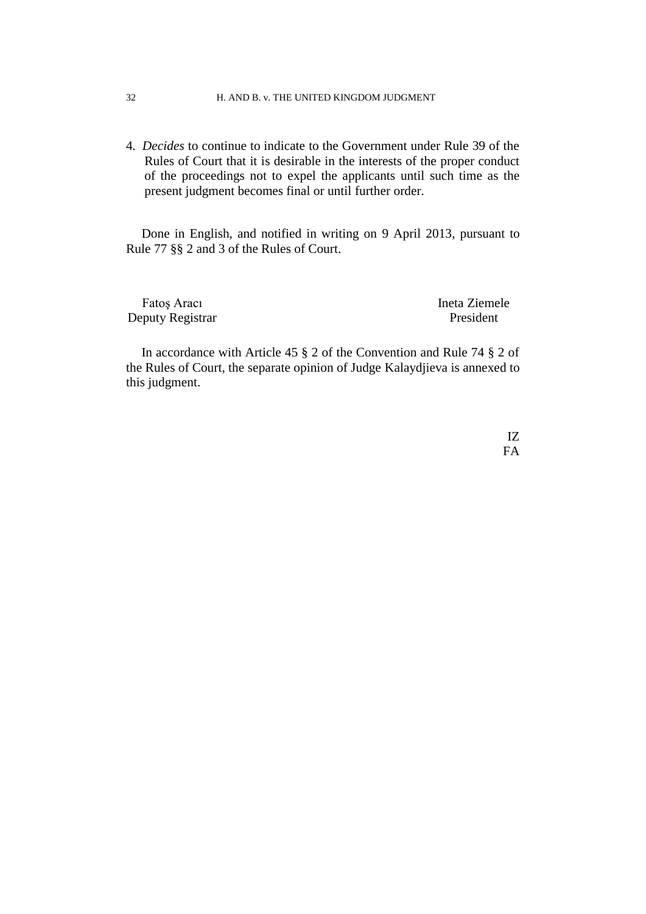### 32 H. AND B. v. THE UNITED KINGDOM JUDGMENT

4*. Decides* to continue to indicate to the Government under Rule 39 of the Rules of Court that it is desirable in the interests of the proper conduct of the proceedings not to expel the applicants until such time as the present judgment becomes final or until further order.

Done in English, and notified in writing on 9 April 2013, pursuant to Rule 77 §§ 2 and 3 of the Rules of Court.

Fatos Aracı **Ineta Ziemele** Deputy Registrar President

In accordance with Article 45 § 2 of the Convention and Rule 74 § 2 of the Rules of Court, the separate opinion of Judge Kalaydjieva is annexed to this judgment.

> IZ FA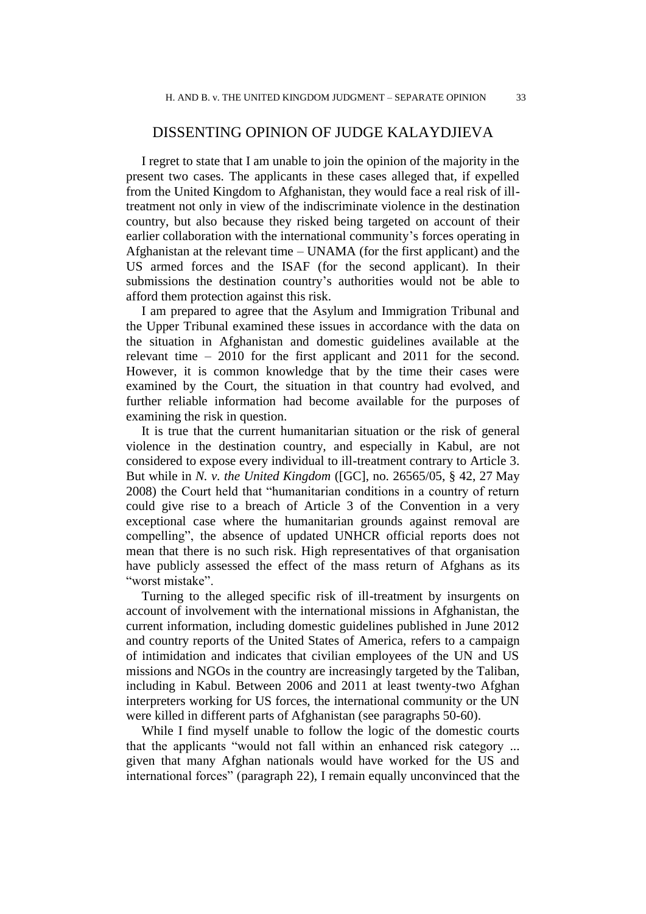# DISSENTING OPINION OF JUDGE KALAYDJIEVA

I regret to state that I am unable to join the opinion of the majority in the present two cases. The applicants in these cases alleged that, if expelled from the United Kingdom to Afghanistan, they would face a real risk of illtreatment not only in view of the indiscriminate violence in the destination country, but also because they risked being targeted on account of their earlier collaboration with the international community's forces operating in Afghanistan at the relevant time – UNAMA (for the first applicant) and the US armed forces and the ISAF (for the second applicant). In their submissions the destination country's authorities would not be able to afford them protection against this risk.

I am prepared to agree that the Asylum and Immigration Tribunal and the Upper Tribunal examined these issues in accordance with the data on the situation in Afghanistan and domestic guidelines available at the relevant time – 2010 for the first applicant and 2011 for the second. However, it is common knowledge that by the time their cases were examined by the Court, the situation in that country had evolved, and further reliable information had become available for the purposes of examining the risk in question.

It is true that the current humanitarian situation or the risk of general violence in the destination country, and especially in Kabul, are not considered to expose every individual to ill-treatment contrary to Article 3. But while in *N. v. the United Kingdom* ([GC], no. 26565/05, § 42, 27 May 2008) the Court held that "humanitarian conditions in a country of return could give rise to a breach of Article 3 of the Convention in a very exceptional case where the humanitarian grounds against removal are compelling", the absence of updated UNHCR official reports does not mean that there is no such risk. High representatives of that organisation have publicly assessed the effect of the mass return of Afghans as its "worst mistake".

Turning to the alleged specific risk of ill-treatment by insurgents on account of involvement with the international missions in Afghanistan, the current information, including domestic guidelines published in June 2012 and country reports of the United States of America, refers to a campaign of intimidation and indicates that civilian employees of the UN and US missions and NGOs in the country are increasingly targeted by the Taliban, including in Kabul. Between 2006 and 2011 at least twenty-two Afghan interpreters working for US forces, the international community or the UN were killed in different parts of Afghanistan (see paragraphs 50-60).

While I find myself unable to follow the logic of the domestic courts that the applicants "would not fall within an enhanced risk category ... given that many Afghan nationals would have worked for the US and international forces" (paragraph 22), I remain equally unconvinced that the